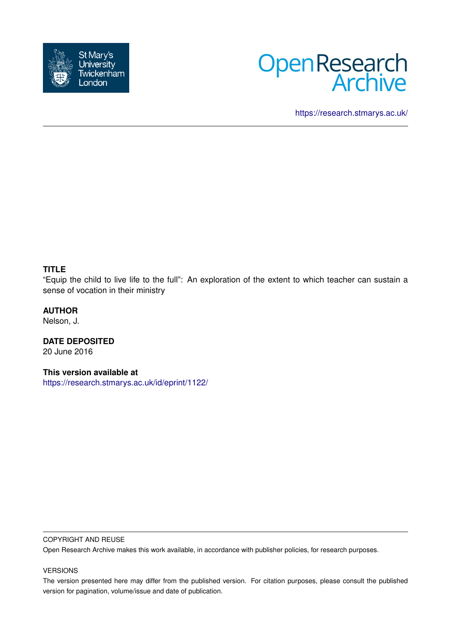



<https://research.stmarys.ac.uk/>

## **TITLE**

"Equip the child to live life to the full": An exploration of the extent to which teacher can sustain a sense of vocation in their ministry

## **AUTHOR**

Nelson, J.

**DATE DEPOSITED** 20 June 2016

**This version available at**

<https://research.stmarys.ac.uk/id/eprint/1122/>

#### COPYRIGHT AND REUSE

Open Research Archive makes this work available, in accordance with publisher policies, for research purposes.

## VERSIONS

The version presented here may differ from the published version. For citation purposes, please consult the published version for pagination, volume/issue and date of publication.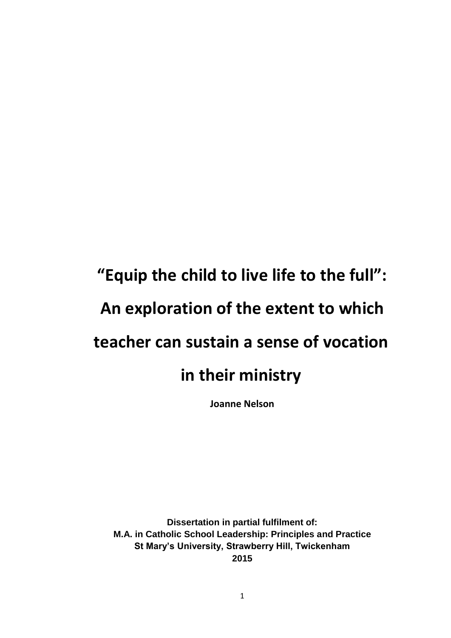# **"Equip the child to live life to the full": An exploration of the extent to which teacher can sustain a sense of vocation in their ministry**

**Joanne Nelson**

**Dissertation in partial fulfilment of: M.A. in Catholic School Leadership: Principles and Practice St Mary's University, Strawberry Hill, Twickenham 2015**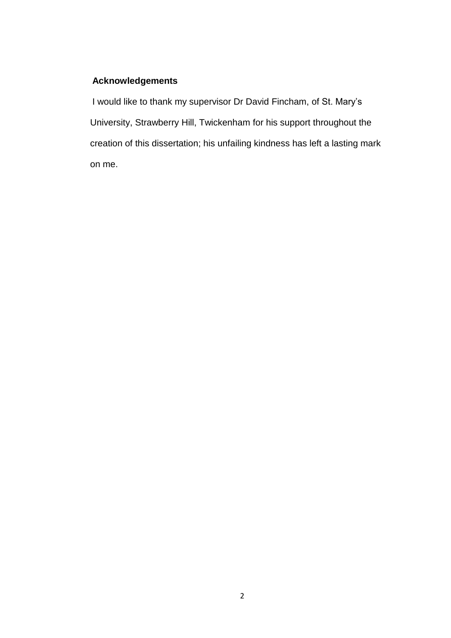# **Acknowledgements**

I would like to thank my supervisor Dr David Fincham, of St. Mary's University, Strawberry Hill, Twickenham for his support throughout the creation of this dissertation; his unfailing kindness has left a lasting mark on me.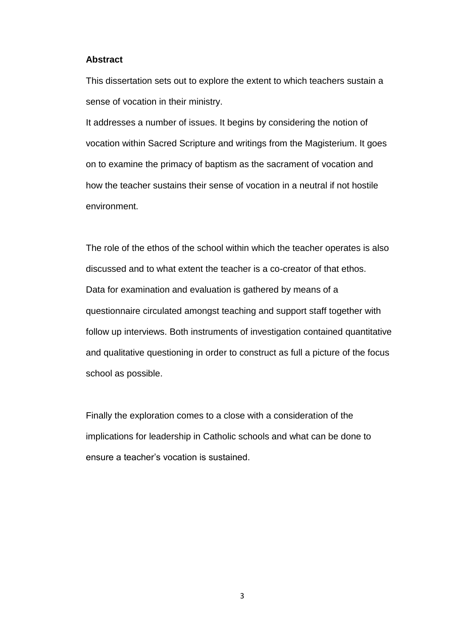#### **Abstract**

This dissertation sets out to explore the extent to which teachers sustain a sense of vocation in their ministry.

It addresses a number of issues. It begins by considering the notion of vocation within Sacred Scripture and writings from the Magisterium. It goes on to examine the primacy of baptism as the sacrament of vocation and how the teacher sustains their sense of vocation in a neutral if not hostile environment.

The role of the ethos of the school within which the teacher operates is also discussed and to what extent the teacher is a co-creator of that ethos. Data for examination and evaluation is gathered by means of a questionnaire circulated amongst teaching and support staff together with follow up interviews. Both instruments of investigation contained quantitative and qualitative questioning in order to construct as full a picture of the focus school as possible.

Finally the exploration comes to a close with a consideration of the implications for leadership in Catholic schools and what can be done to ensure a teacher's vocation is sustained.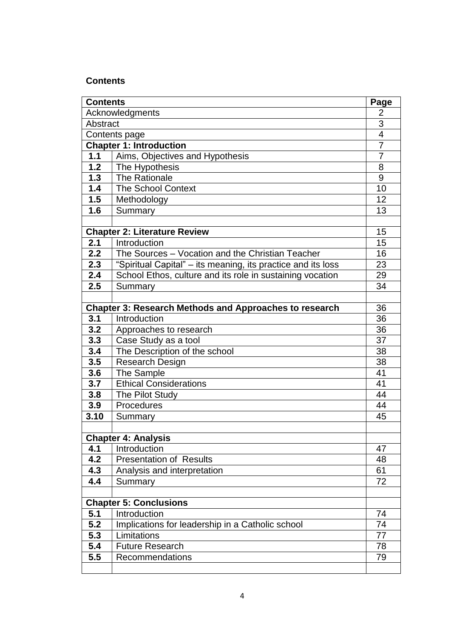# **Contents**

| <b>Contents</b>                                               |                                                                 | Page           |
|---------------------------------------------------------------|-----------------------------------------------------------------|----------------|
| Acknowledgments                                               |                                                                 | $\overline{2}$ |
| Abstract                                                      |                                                                 | $\overline{3}$ |
| Contents page                                                 |                                                                 | $\overline{4}$ |
| <b>Chapter 1: Introduction</b>                                |                                                                 | $\overline{7}$ |
| 1.1                                                           | Aims, Objectives and Hypothesis                                 | 7              |
| $\overline{1.2}$                                              | The Hypothesis                                                  | 8              |
| 1.3                                                           | The Rationale                                                   | 9              |
| 1.4                                                           | <b>The School Context</b>                                       | 10             |
| 1.5                                                           | Methodology                                                     | 12             |
| 1.6                                                           | Summary                                                         | 13             |
|                                                               |                                                                 |                |
|                                                               | <b>Chapter 2: Literature Review</b>                             | 15             |
| 2.1                                                           | Introduction                                                    | 15             |
| 2.2                                                           | The Sources - Vocation and the Christian Teacher                | 16             |
| 2.3                                                           | "Spiritual Capital" - its meaning, its practice and its loss    | 23             |
| 2.4                                                           | School Ethos, culture and its role in sustaining vocation       | 29             |
| 2.5                                                           | Summary                                                         | 34             |
|                                                               |                                                                 |                |
| <b>Chapter 3: Research Methods and Approaches to research</b> |                                                                 | 36             |
| 3.1                                                           | Introduction                                                    | 36             |
| 3.2                                                           | Approaches to research                                          | 36             |
| 3.3                                                           | Case Study as a tool                                            | 37             |
| 3.4                                                           | The Description of the school                                   | 38             |
| 3.5                                                           | Research Design                                                 | 38             |
| 3.6                                                           | The Sample                                                      | 41             |
| 3.7                                                           | <b>Ethical Considerations</b>                                   | 41             |
| 3.8                                                           | The Pilot Study                                                 | 44             |
| 3.9                                                           | Procedures                                                      | 44             |
| 3.10                                                          | Summary                                                         | 45             |
|                                                               |                                                                 |                |
|                                                               | <b>Chapter 4: Analysis</b>                                      |                |
| 4.1                                                           | Introduction                                                    | 47             |
| 4.2                                                           | <b>Presentation of Results</b>                                  | 48             |
| 4.3                                                           | Analysis and interpretation                                     | 61             |
| 4.4                                                           | Summary                                                         | 72             |
|                                                               |                                                                 |                |
|                                                               | <b>Chapter 5: Conclusions</b><br>Introduction                   | 74             |
| 5.1<br>5.2                                                    |                                                                 |                |
| 5.3                                                           | Implications for leadership in a Catholic school<br>Limitations | 74<br>77       |
| 5.4                                                           | <b>Future Research</b>                                          |                |
| 5.5                                                           |                                                                 | 78             |
|                                                               | Recommendations                                                 | 79             |
|                                                               |                                                                 |                |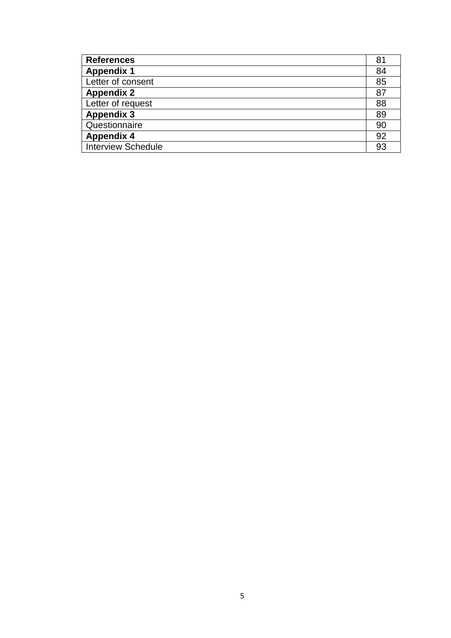| <b>References</b>         |    |
|---------------------------|----|
| <b>Appendix 1</b>         |    |
| Letter of consent         |    |
| <b>Appendix 2</b>         |    |
| Letter of request         |    |
| <b>Appendix 3</b>         |    |
| Questionnaire             |    |
| <b>Appendix 4</b>         |    |
| <b>Interview Schedule</b> | 93 |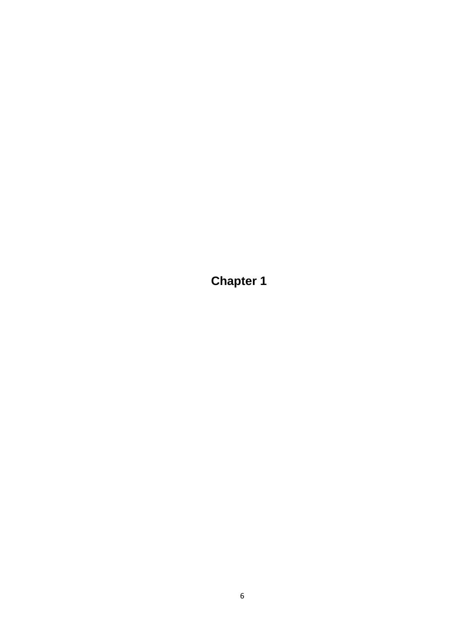**Chapter 1**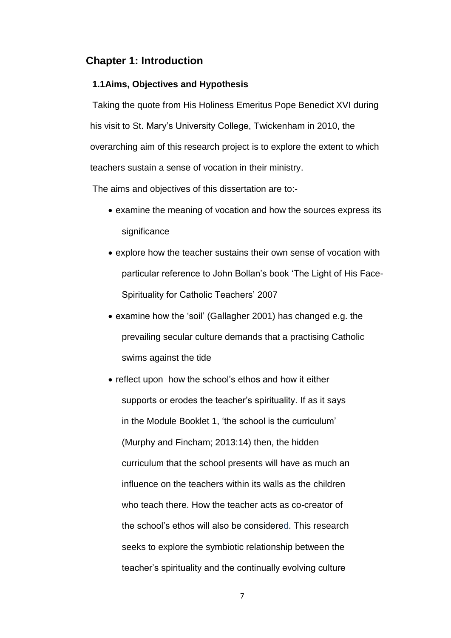## **Chapter 1: Introduction**

## **1.1Aims, Objectives and Hypothesis**

Taking the quote from His Holiness Emeritus Pope Benedict XVI during his visit to St. Mary's University College, Twickenham in 2010, the overarching aim of this research project is to explore the extent to which teachers sustain a sense of vocation in their ministry.

The aims and objectives of this dissertation are to:-

- examine the meaning of vocation and how the sources express its significance
- explore how the teacher sustains their own sense of vocation with particular reference to John Bollan's book 'The Light of His Face-Spirituality for Catholic Teachers' 2007
- examine how the 'soil' (Gallagher 2001) has changed e.g. the prevailing secular culture demands that a practising Catholic swims against the tide
- reflect upon how the school's ethos and how it either supports or erodes the teacher's spirituality. If as it says in the Module Booklet 1, 'the school is the curriculum' (Murphy and Fincham; 2013:14) then, the hidden curriculum that the school presents will have as much an influence on the teachers within its walls as the children who teach there. How the teacher acts as co-creator of the school's ethos will also be considered. This research seeks to explore the symbiotic relationship between the teacher's spirituality and the continually evolving culture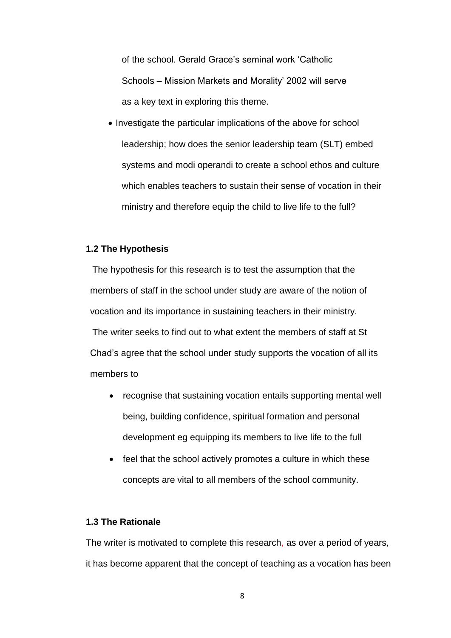of the school. Gerald Grace's seminal work 'Catholic Schools – Mission Markets and Morality' 2002 will serve as a key text in exploring this theme.

• Investigate the particular implications of the above for school leadership; how does the senior leadership team (SLT) embed systems and modi operandi to create a school ethos and culture which enables teachers to sustain their sense of vocation in their ministry and therefore equip the child to live life to the full?

## **1.2 The Hypothesis**

The hypothesis for this research is to test the assumption that the members of staff in the school under study are aware of the notion of vocation and its importance in sustaining teachers in their ministry. The writer seeks to find out to what extent the members of staff at St Chad's agree that the school under study supports the vocation of all its members to

- recognise that sustaining vocation entails supporting mental well being, building confidence, spiritual formation and personal development eg equipping its members to live life to the full
- feel that the school actively promotes a culture in which these concepts are vital to all members of the school community.

## **1.3 The Rationale**

The writer is motivated to complete this research, as over a period of years, it has become apparent that the concept of teaching as a vocation has been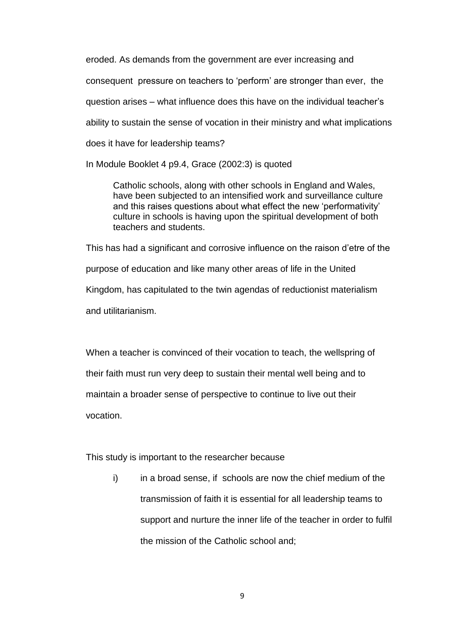eroded. As demands from the government are ever increasing and consequent pressure on teachers to 'perform' are stronger than ever, the question arises – what influence does this have on the individual teacher's ability to sustain the sense of vocation in their ministry and what implications does it have for leadership teams?

In Module Booklet 4 p9.4, Grace (2002:3) is quoted

Catholic schools, along with other schools in England and Wales, have been subjected to an intensified work and surveillance culture and this raises questions about what effect the new 'performativity' culture in schools is having upon the spiritual development of both teachers and students.

This has had a significant and corrosive influence on the raison d'etre of the purpose of education and like many other areas of life in the United Kingdom, has capitulated to the twin agendas of reductionist materialism and utilitarianism.

When a teacher is convinced of their vocation to teach, the wellspring of their faith must run very deep to sustain their mental well being and to maintain a broader sense of perspective to continue to live out their vocation.

This study is important to the researcher because

i) in a broad sense, if schools are now the chief medium of the transmission of faith it is essential for all leadership teams to support and nurture the inner life of the teacher in order to fulfil the mission of the Catholic school and;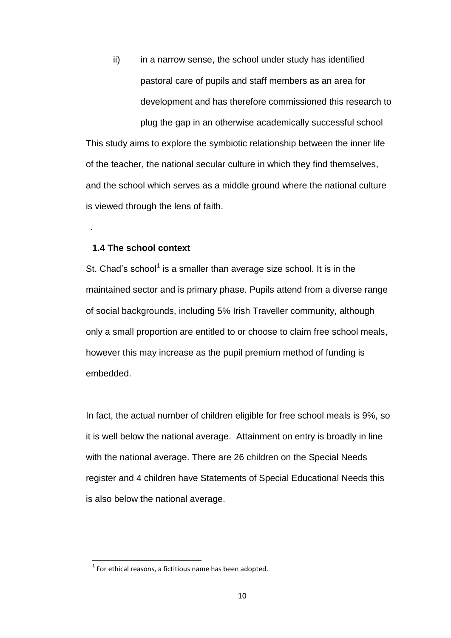ii) in a narrow sense, the school under study has identified pastoral care of pupils and staff members as an area for development and has therefore commissioned this research to plug the gap in an otherwise academically successful school This study aims to explore the symbiotic relationship between the inner life of the teacher, the national secular culture in which they find themselves, and the school which serves as a middle ground where the national culture is viewed through the lens of faith.

### **1.4 The school context**

.

**.** 

St. Chad's school<sup>1</sup> is a smaller than average size school. It is in the maintained sector and is primary phase. Pupils attend from a diverse range of social backgrounds, including 5% Irish Traveller community, although only a small proportion are entitled to or choose to claim free school meals, however this may increase as the pupil premium method of funding is embedded.

In fact, the actual number of children eligible for free school meals is 9%, so it is well below the national average. Attainment on entry is broadly in line with the national average. There are 26 children on the Special Needs register and 4 children have Statements of Special Educational Needs this is also below the national average.

 $1$  For ethical reasons, a fictitious name has been adopted.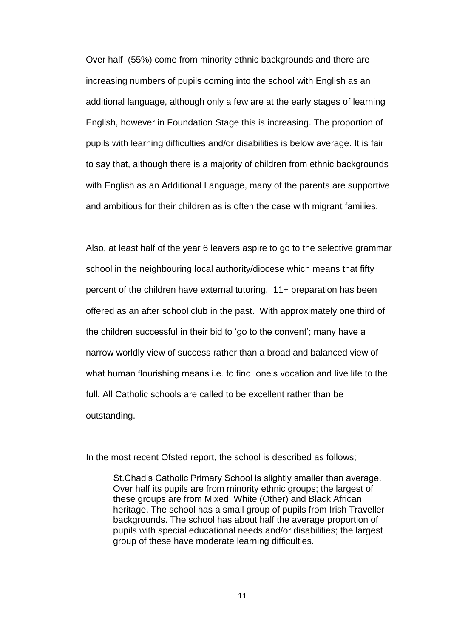Over half (55%) come from minority ethnic backgrounds and there are increasing numbers of pupils coming into the school with English as an additional language, although only a few are at the early stages of learning English, however in Foundation Stage this is increasing. The proportion of pupils with learning difficulties and/or disabilities is below average. It is fair to say that, although there is a majority of children from ethnic backgrounds with English as an Additional Language, many of the parents are supportive and ambitious for their children as is often the case with migrant families.

Also, at least half of the year 6 leavers aspire to go to the selective grammar school in the neighbouring local authority/diocese which means that fifty percent of the children have external tutoring. 11+ preparation has been offered as an after school club in the past. With approximately one third of the children successful in their bid to 'go to the convent'; many have a narrow worldly view of success rather than a broad and balanced view of what human flourishing means i.e. to find one's vocation and live life to the full. All Catholic schools are called to be excellent rather than be outstanding.

In the most recent Ofsted report, the school is described as follows;

St.Chad's Catholic Primary School is slightly smaller than average. Over half its pupils are from minority ethnic groups; the largest of these groups are from Mixed, White (Other) and Black African heritage. The school has a small group of pupils from Irish Traveller backgrounds. The school has about half the average proportion of pupils with special educational needs and/or disabilities; the largest group of these have moderate learning difficulties.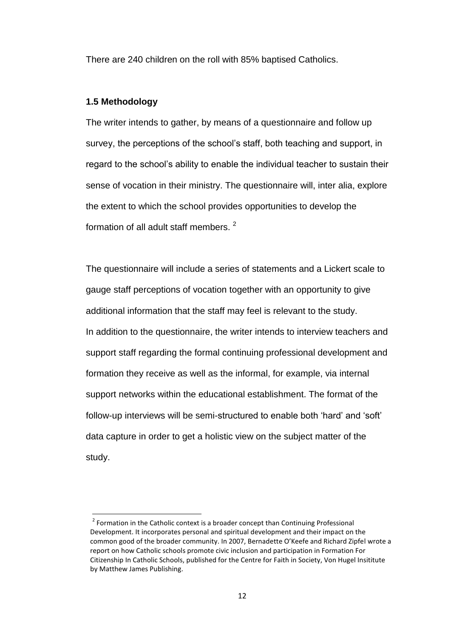There are 240 children on the roll with 85% baptised Catholics.

### **1.5 Methodology**

1

The writer intends to gather, by means of a questionnaire and follow up survey, the perceptions of the school's staff, both teaching and support, in regard to the school's ability to enable the individual teacher to sustain their sense of vocation in their ministry. The questionnaire will, inter alia, explore the extent to which the school provides opportunities to develop the formation of all adult staff members.<sup>2</sup>

The questionnaire will include a series of statements and a Lickert scale to gauge staff perceptions of vocation together with an opportunity to give additional information that the staff may feel is relevant to the study. In addition to the questionnaire, the writer intends to interview teachers and support staff regarding the formal continuing professional development and formation they receive as well as the informal, for example, via internal support networks within the educational establishment. The format of the follow-up interviews will be semi-structured to enable both 'hard' and 'soft' data capture in order to get a holistic view on the subject matter of the study.

<sup>&</sup>lt;sup>2</sup> Formation in the Catholic context is a broader concept than Continuing Professional Development. It incorporates personal and spiritual development and their impact on the common good of the broader community. In 2007, Bernadette O'Keefe and Richard Zipfel wrote a report on how Catholic schools promote civic inclusion and participation in Formation For Citizenship In Catholic Schools, published for the Centre for Faith in Society, Von Hugel Insititute by Matthew James Publishing.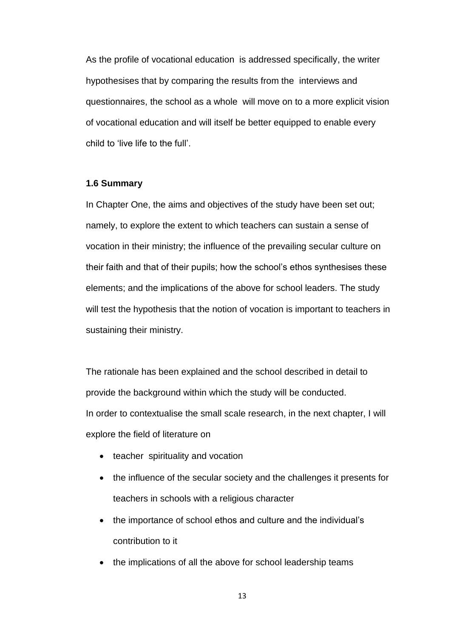As the profile of vocational education is addressed specifically, the writer hypothesises that by comparing the results from the interviews and questionnaires, the school as a whole will move on to a more explicit vision of vocational education and will itself be better equipped to enable every child to 'live life to the full'.

### **1.6 Summary**

In Chapter One, the aims and objectives of the study have been set out; namely, to explore the extent to which teachers can sustain a sense of vocation in their ministry; the influence of the prevailing secular culture on their faith and that of their pupils; how the school's ethos synthesises these elements; and the implications of the above for school leaders. The study will test the hypothesis that the notion of vocation is important to teachers in sustaining their ministry.

The rationale has been explained and the school described in detail to provide the background within which the study will be conducted. In order to contextualise the small scale research, in the next chapter, I will explore the field of literature on

- teacher spirituality and vocation
- the influence of the secular society and the challenges it presents for teachers in schools with a religious character
- the importance of school ethos and culture and the individual's contribution to it
- the implications of all the above for school leadership teams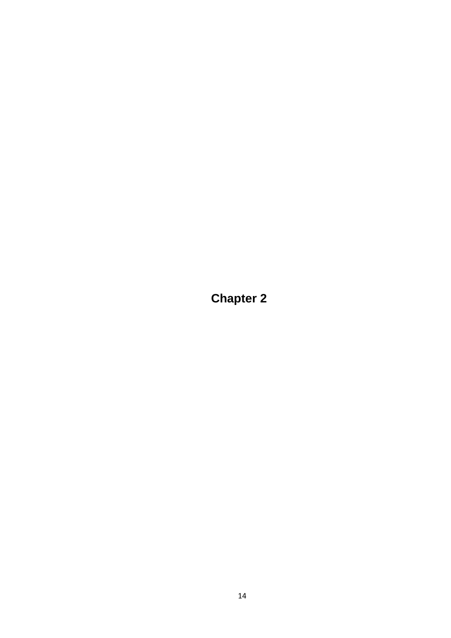**Chapter 2**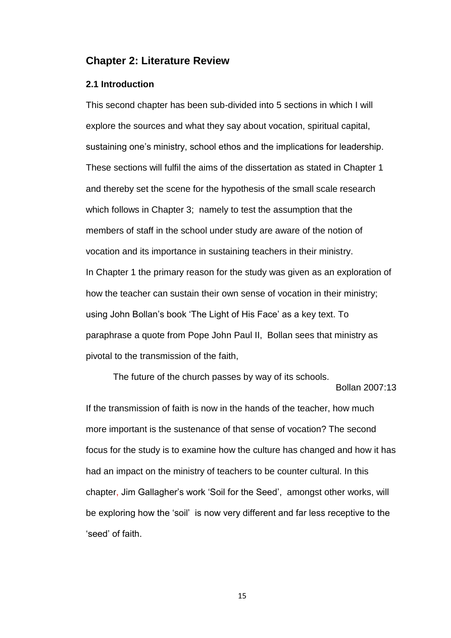## **Chapter 2: Literature Review**

### **2.1 Introduction**

This second chapter has been sub-divided into 5 sections in which I will explore the sources and what they say about vocation, spiritual capital, sustaining one's ministry, school ethos and the implications for leadership. These sections will fulfil the aims of the dissertation as stated in Chapter 1 and thereby set the scene for the hypothesis of the small scale research which follows in Chapter 3; namely to test the assumption that the members of staff in the school under study are aware of the notion of vocation and its importance in sustaining teachers in their ministry. In Chapter 1 the primary reason for the study was given as an exploration of how the teacher can sustain their own sense of vocation in their ministry; using John Bollan's book 'The Light of His Face' as a key text. To paraphrase a quote from Pope John Paul II, Bollan sees that ministry as pivotal to the transmission of the faith,

The future of the church passes by way of its schools.

Bollan 2007:13

If the transmission of faith is now in the hands of the teacher, how much more important is the sustenance of that sense of vocation? The second focus for the study is to examine how the culture has changed and how it has had an impact on the ministry of teachers to be counter cultural. In this chapter, Jim Gallagher's work 'Soil for the Seed', amongst other works, will be exploring how the 'soil' is now very different and far less receptive to the 'seed' of faith.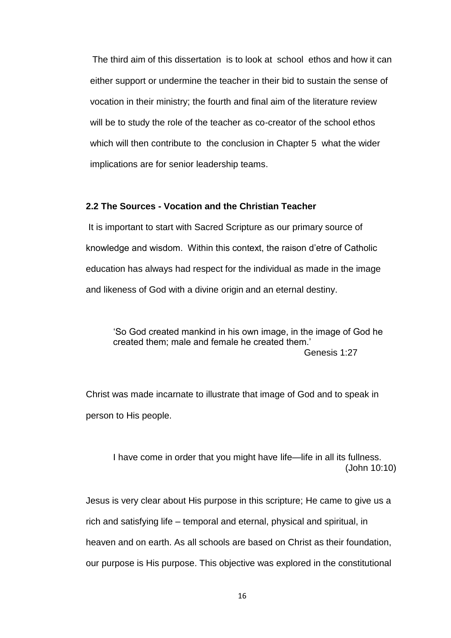The third aim of this dissertation is to look at school ethos and how it can either support or undermine the teacher in their bid to sustain the sense of vocation in their ministry; the fourth and final aim of the literature review will be to study the role of the teacher as co-creator of the school ethos which will then contribute to the conclusion in Chapter 5 what the wider implications are for senior leadership teams.

## **2.2 The Sources - Vocation and the Christian Teacher**

It is important to start with Sacred Scripture as our primary source of knowledge and wisdom. Within this context, the raison d'etre of Catholic education has always had respect for the individual as made in the image and likeness of God with a divine origin and an eternal destiny.

'So God created mankind in his own image, in the image of God he created them; male and female he created them.' Genesis 1:27

Christ was made incarnate to illustrate that image of God and to speak in person to His people.

I have come in order that you might have life—life in all its fullness. (John 10:10)

Jesus is very clear about His purpose in this scripture; He came to give us a rich and satisfying life – temporal and eternal, physical and spiritual, in heaven and on earth. As all schools are based on Christ as their foundation, our purpose is His purpose. This objective was explored in the constitutional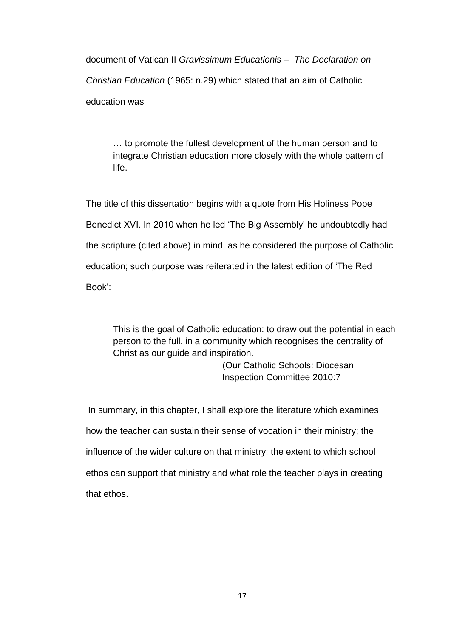document of Vatican II *Gravissimum Educationis – The Declaration on Christian Education* (1965: n.29) which stated that an aim of Catholic education was

… to promote the fullest development of the human person and to integrate Christian education more closely with the whole pattern of life.

The title of this dissertation begins with a quote from His Holiness Pope Benedict XVI. In 2010 when he led 'The Big Assembly' he undoubtedly had the scripture (cited above) in mind, as he considered the purpose of Catholic education; such purpose was reiterated in the latest edition of 'The Red Book':

This is the goal of Catholic education: to draw out the potential in each person to the full, in a community which recognises the centrality of Christ as our guide and inspiration.

> (Our Catholic Schools: Diocesan Inspection Committee 2010:7

In summary, in this chapter, I shall explore the literature which examines how the teacher can sustain their sense of vocation in their ministry; the influence of the wider culture on that ministry; the extent to which school ethos can support that ministry and what role the teacher plays in creating that ethos.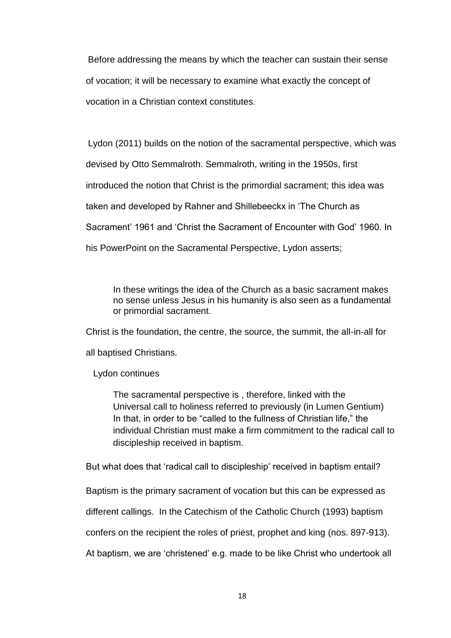Before addressing the means by which the teacher can sustain their sense of vocation; it will be necessary to examine what exactly the concept of vocation in a Christian context constitutes.

Lydon (2011) builds on the notion of the sacramental perspective, which was devised by Otto Semmalroth. Semmalroth, writing in the 1950s, first introduced the notion that Christ is the primordial sacrament; this idea was taken and developed by Rahner and Shillebeeckx in 'The Church as Sacrament' 1961 and 'Christ the Sacrament of Encounter with God' 1960. In his PowerPoint on the Sacramental Perspective, Lydon asserts;

In these writings the idea of the Church as a basic sacrament makes no sense unless Jesus in his humanity is also seen as a fundamental or primordial sacrament.

Christ is the foundation, the centre, the source, the summit, the all-in-all for

all baptised Christians.

Lydon continues

The sacramental perspective is , therefore, linked with the Universal call to holiness referred to previously (in Lumen Gentium) In that, in order to be "called to the fullness of Christian life," the individual Christian must make a firm commitment to the radical call to discipleship received in baptism.

But what does that 'radical call to discipleship' received in baptism entail?

Baptism is the primary sacrament of vocation but this can be expressed as

different callings. In the Catechism of the Catholic Church (1993) baptism

confers on the recipient the roles of priest, prophet and king (nos. 897-913).

At baptism, we are 'christened' e.g. made to be like Christ who undertook all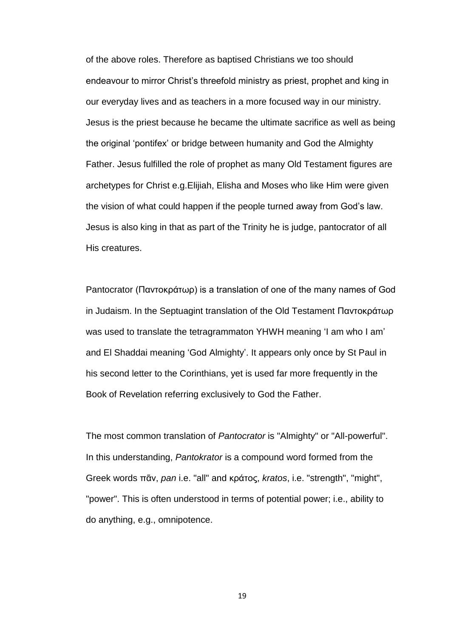of the above roles. Therefore as baptised Christians we too should endeavour to mirror Christ's threefold ministry as priest, prophet and king in our everyday lives and as teachers in a more focused way in our ministry. Jesus is the priest because he became the ultimate sacrifice as well as being the original 'pontifex' or bridge between humanity and God the Almighty Father. Jesus fulfilled the role of prophet as many Old Testament figures are archetypes for Christ e.g.Elijiah, Elisha and Moses who like Him were given the vision of what could happen if the people turned away from God's law. Jesus is also king in that as part of the Trinity he is judge, pantocrator of all His creatures.

Pantocrator (Παντοκράτωρ) is a translation of one of the many names of God in Judaism. In the Septuagint translation of the Old Testament Παντοκράτωρ was used to translate the tetragrammaton YHWH meaning 'I am who I am' and El Shaddai meaning 'God Almighty'. It appears only once by St Paul in his second letter to the Corinthians, yet is used far more frequently in the Book of Revelation referring exclusively to God the Father.

The most common translation of *Pantocrator* is "Almighty" or "All-powerful". In this understanding, *Pantokrator* is a compound word formed from the Greek words πᾶν, *pan* i.e. "all" and κράτος, *kratos*, i.e. "strength", "might", "power". This is often understood in terms of potential power; i.e., ability to do anything, e.g., omnipotence.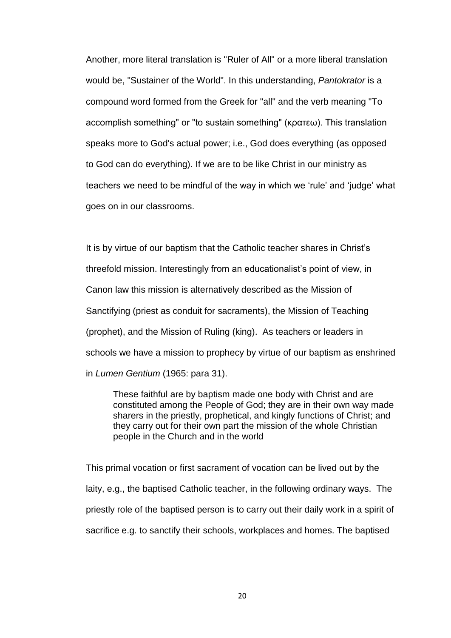Another, more literal translation is "Ruler of All" or a more liberal translation would be, "Sustainer of the World". In this understanding, *Pantokrator* is a compound word formed from the Greek for "all" and the verb meaning "To accomplish something" or "to sustain something" (κρατεω). This translation speaks more to God's actual power; i.e., God does everything (as opposed to God can do everything). If we are to be like Christ in our ministry as teachers we need to be mindful of the way in which we 'rule' and 'judge' what goes on in our classrooms.

It is by virtue of our baptism that the Catholic teacher shares in Christ's threefold mission. Interestingly from an educationalist's point of view, in Canon law this mission is alternatively described as the Mission of Sanctifying (priest as conduit for sacraments), the Mission of Teaching (prophet), and the Mission of Ruling (king). As teachers or leaders in schools we have a mission to prophecy by virtue of our baptism as enshrined in *Lumen Gentium* (1965: para 31).

These faithful are by baptism made one body with Christ and are constituted among the People of God; they are in their own way made sharers in the priestly, prophetical, and kingly functions of Christ; and they carry out for their own part the mission of the whole Christian people in the Church and in the world

This primal vocation or first sacrament of vocation can be lived out by the laity, e.g., the baptised Catholic teacher, in the following ordinary ways. The priestly role of the baptised person is to carry out their daily work in a spirit of sacrifice e.g. to sanctify their schools, workplaces and homes. The baptised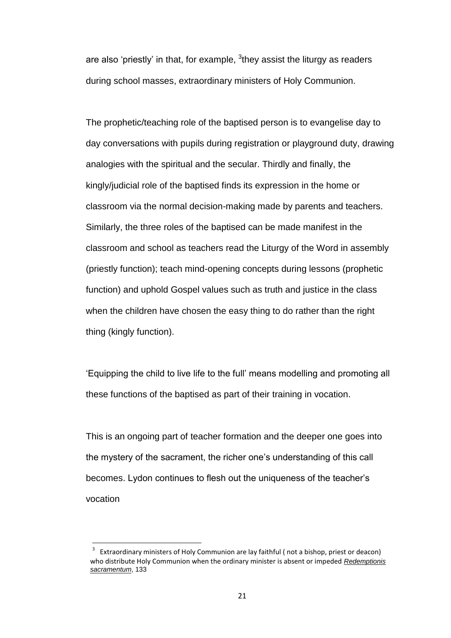are also 'priestly' in that, for example,  ${}^{3}$ they assist the liturgy as readers during school masses, extraordinary ministers of Holy Communion.

The prophetic/teaching role of the baptised person is to evangelise day to day conversations with pupils during registration or playground duty, drawing analogies with the spiritual and the secular. Thirdly and finally, the kingly/judicial role of the baptised finds its expression in the home or classroom via the normal decision-making made by parents and teachers. Similarly, the three roles of the baptised can be made manifest in the classroom and school as teachers read the Liturgy of the Word in assembly (priestly function); teach mind-opening concepts during lessons (prophetic function) and uphold Gospel values such as truth and justice in the class when the children have chosen the easy thing to do rather than the right thing (kingly function).

'Equipping the child to live life to the full' means modelling and promoting all these functions of the baptised as part of their training in vocation.

This is an ongoing part of teacher formation and the deeper one goes into the mystery of the sacrament, the richer one's understanding of this call becomes. Lydon continues to flesh out the uniqueness of the teacher's vocation

**.** 

<sup>3</sup> Extraordinary ministers of Holy Communion are lay faithful ( not a bishop, priest or deacon) who distribute Holy Communion when the ordinary minister is absent or impeded *[Redemptionis](http://www.vatican.va/roman_curia/congregations/ccdds/documents/rc_con_ccdds_doc_20040423_redemptionis-sacramentum_en.html)  [sacramentum](http://www.vatican.va/roman_curia/congregations/ccdds/documents/rc_con_ccdds_doc_20040423_redemptionis-sacramentum_en.html)*, 133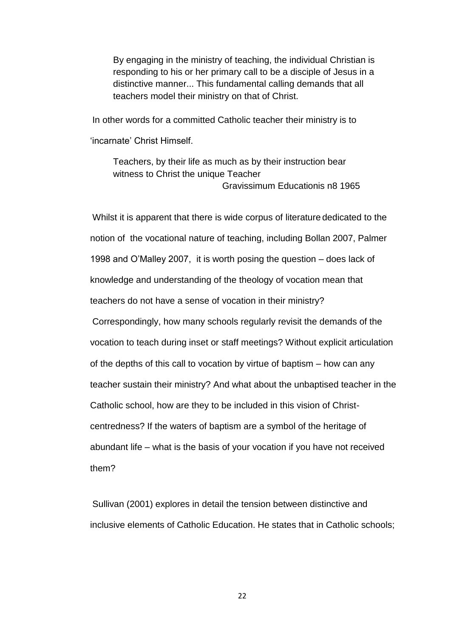By engaging in the ministry of teaching, the individual Christian is responding to his or her primary call to be a disciple of Jesus in a distinctive manner... This fundamental calling demands that all teachers model their ministry on that of Christ.

In other words for a committed Catholic teacher their ministry is to 'incarnate' Christ Himself.

Teachers, by their life as much as by their instruction bear witness to Christ the unique Teacher Gravissimum Educationis n8 1965

Whilst it is apparent that there is wide corpus of literature dedicated to the notion of the vocational nature of teaching, including Bollan 2007, Palmer 1998 and O'Malley 2007, it is worth posing the question – does lack of knowledge and understanding of the theology of vocation mean that teachers do not have a sense of vocation in their ministry? Correspondingly, how many schools regularly revisit the demands of the vocation to teach during inset or staff meetings? Without explicit articulation of the depths of this call to vocation by virtue of baptism – how can any teacher sustain their ministry? And what about the unbaptised teacher in the Catholic school, how are they to be included in this vision of Christcentredness? If the waters of baptism are a symbol of the heritage of abundant life – what is the basis of your vocation if you have not received them?

Sullivan (2001) explores in detail the tension between distinctive and inclusive elements of Catholic Education. He states that in Catholic schools;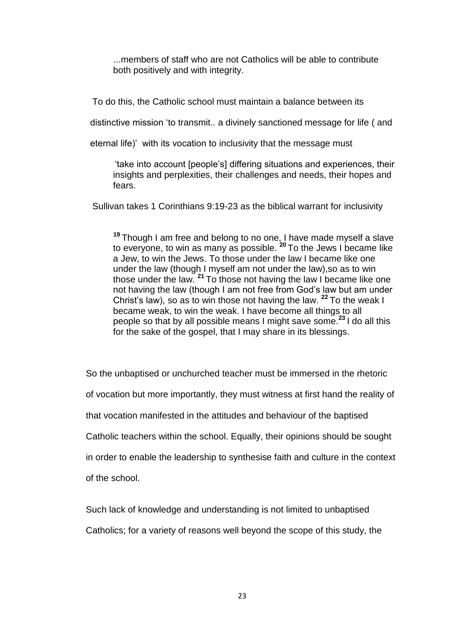...members of staff who are not Catholics will be able to contribute both positively and with integrity.

To do this, the Catholic school must maintain a balance between its

distinctive mission 'to transmit.. a divinely sanctioned message for life ( and

eternal life)' with its vocation to inclusivity that the message must

'take into account [people's] differing situations and experiences, their insights and perplexities, their challenges and needs, their hopes and fears.

Sullivan takes 1 Corinthians 9:19-23 as the biblical warrant for inclusivity

**<sup>19</sup>** Though I am free and belong to no one, I have made myself a slave to everyone, to win as many as possible. **<sup>20</sup>** To the Jews I became like a Jew, to win the Jews. To those under the law I became like one under the law (though I myself am not under the law),so as to win those under the law. **<sup>21</sup>** To those not having the law I became like one not having the law (though I am not free from God's law but am under Christ's law), so as to win those not having the law. **<sup>22</sup>** To the weak I became weak, to win the weak. I have become all things to all people so that by all possible means I might save some.**<sup>23</sup>** I do all this for the sake of the gospel, that I may share in its blessings.

So the unbaptised or unchurched teacher must be immersed in the rhetoric of vocation but more importantly, they must witness at first hand the reality of that vocation manifested in the attitudes and behaviour of the baptised Catholic teachers within the school. Equally, their opinions should be sought in order to enable the leadership to synthesise faith and culture in the context of the school.

Such lack of knowledge and understanding is not limited to unbaptised

Catholics; for a variety of reasons well beyond the scope of this study, the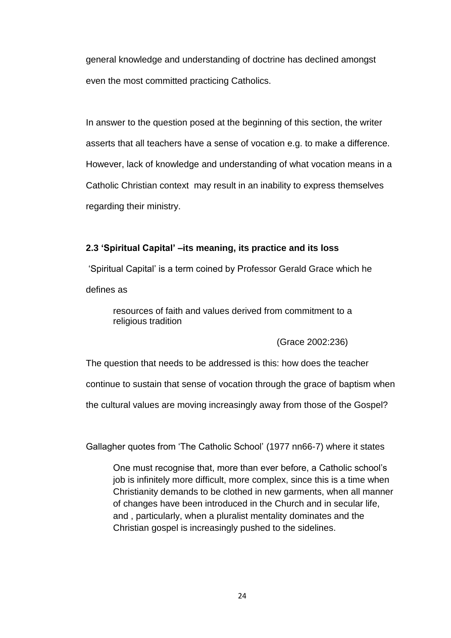general knowledge and understanding of doctrine has declined amongst even the most committed practicing Catholics.

In answer to the question posed at the beginning of this section, the writer asserts that all teachers have a sense of vocation e.g. to make a difference. However, lack of knowledge and understanding of what vocation means in a Catholic Christian context may result in an inability to express themselves regarding their ministry.

## **2.3 'Spiritual Capital' –its meaning, its practice and its loss**

'Spiritual Capital' is a term coined by Professor Gerald Grace which he defines as

resources of faith and values derived from commitment to a religious tradition

(Grace 2002:236)

The question that needs to be addressed is this: how does the teacher

continue to sustain that sense of vocation through the grace of baptism when

the cultural values are moving increasingly away from those of the Gospel?

Gallagher quotes from 'The Catholic School' (1977 nn66-7) where it states

One must recognise that, more than ever before, a Catholic school's job is infinitely more difficult, more complex, since this is a time when Christianity demands to be clothed in new garments, when all manner of changes have been introduced in the Church and in secular life, and , particularly, when a pluralist mentality dominates and the Christian gospel is increasingly pushed to the sidelines.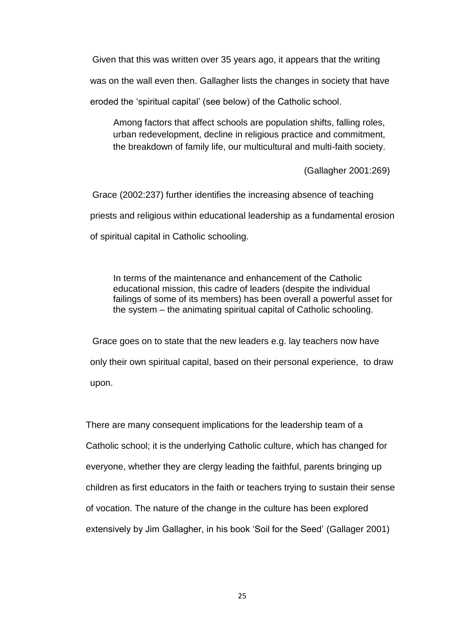Given that this was written over 35 years ago, it appears that the writing

was on the wall even then. Gallagher lists the changes in society that have

eroded the 'spiritual capital' (see below) of the Catholic school.

Among factors that affect schools are population shifts, falling roles, urban redevelopment, decline in religious practice and commitment, the breakdown of family life, our multicultural and multi-faith society.

(Gallagher 2001:269)

Grace (2002:237) further identifies the increasing absence of teaching priests and religious within educational leadership as a fundamental erosion of spiritual capital in Catholic schooling.

In terms of the maintenance and enhancement of the Catholic educational mission, this cadre of leaders (despite the individual failings of some of its members) has been overall a powerful asset for the system – the animating spiritual capital of Catholic schooling.

Grace goes on to state that the new leaders e.g. lay teachers now have only their own spiritual capital, based on their personal experience, to draw upon.

There are many consequent implications for the leadership team of a Catholic school; it is the underlying Catholic culture, which has changed for everyone, whether they are clergy leading the faithful, parents bringing up children as first educators in the faith or teachers trying to sustain their sense of vocation. The nature of the change in the culture has been explored extensively by Jim Gallagher, in his book 'Soil for the Seed' (Gallager 2001)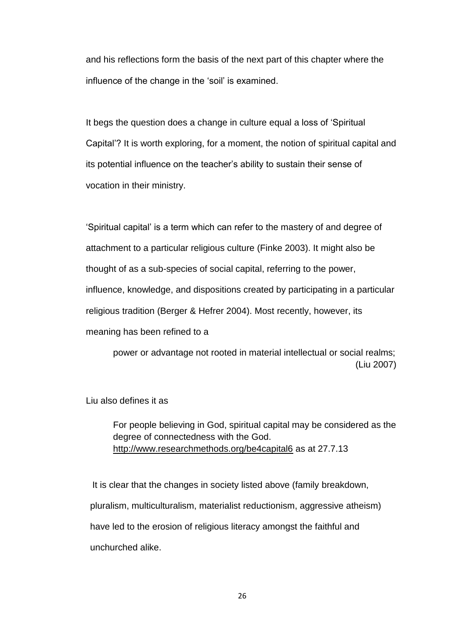and his reflections form the basis of the next part of this chapter where the influence of the change in the 'soil' is examined.

It begs the question does a change in culture equal a loss of 'Spiritual Capital'? It is worth exploring, for a moment, the notion of spiritual capital and its potential influence on the teacher's ability to sustain their sense of vocation in their ministry.

'Spiritual capital' is a term which can refer to the mastery of and degree of attachment to a particular religious culture (Finke 2003). It might also be thought of as a sub-species of social capital, referring to the power, influence, knowledge, and dispositions created by participating in a particular religious tradition (Berger & Hefrer 2004). Most recently, however, its meaning has been refined to a

power or advantage not rooted in material intellectual or social realms; (Liu 2007)

Liu also defines it as

For people believing in God, spiritual capital may be considered as the degree of connectedness with the God. <http://www.researchmethods.org/be4capital6> as at 27.7.13

It is clear that the changes in society listed above (family breakdown, pluralism, multiculturalism, materialist reductionism, aggressive atheism) have led to the erosion of religious literacy amongst the faithful and unchurched alike.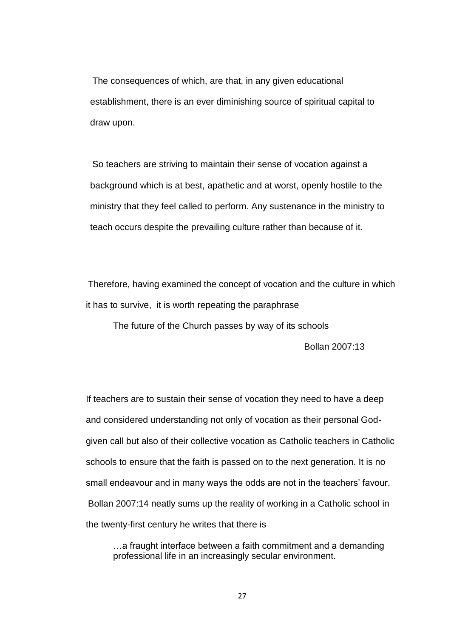The consequences of which, are that, in any given educational establishment, there is an ever diminishing source of spiritual capital to draw upon.

So teachers are striving to maintain their sense of vocation against a background which is at best, apathetic and at worst, openly hostile to the ministry that they feel called to perform. Any sustenance in the ministry to teach occurs despite the prevailing culture rather than because of it.

Therefore, having examined the concept of vocation and the culture in which it has to survive, it is worth repeating the paraphrase

The future of the Church passes by way of its schools

Bollan 2007:13

If teachers are to sustain their sense of vocation they need to have a deep and considered understanding not only of vocation as their personal Godgiven call but also of their collective vocation as Catholic teachers in Catholic schools to ensure that the faith is passed on to the next generation. It is no small endeavour and in many ways the odds are not in the teachers' favour. Bollan 2007:14 neatly sums up the reality of working in a Catholic school in the twenty-first century he writes that there is

…a fraught interface between a faith commitment and a demanding professional life in an increasingly secular environment.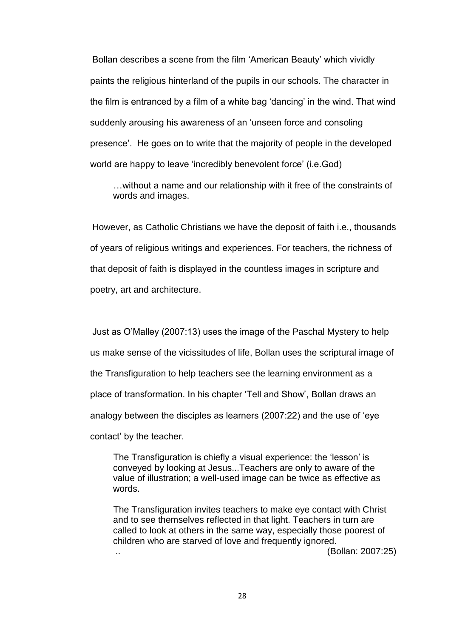Bollan describes a scene from the film 'American Beauty' which vividly paints the religious hinterland of the pupils in our schools. The character in the film is entranced by a film of a white bag 'dancing' in the wind. That wind suddenly arousing his awareness of an 'unseen force and consoling presence'. He goes on to write that the majority of people in the developed world are happy to leave 'incredibly benevolent force' (i.e.God)

…without a name and our relationship with it free of the constraints of words and images.

However, as Catholic Christians we have the deposit of faith i.e., thousands of years of religious writings and experiences. For teachers, the richness of that deposit of faith is displayed in the countless images in scripture and poetry, art and architecture.

Just as O'Malley (2007:13) uses the image of the Paschal Mystery to help us make sense of the vicissitudes of life, Bollan uses the scriptural image of the Transfiguration to help teachers see the learning environment as a place of transformation. In his chapter 'Tell and Show', Bollan draws an analogy between the disciples as learners (2007:22) and the use of 'eye contact' by the teacher.

The Transfiguration is chiefly a visual experience: the 'lesson' is conveyed by looking at Jesus...Teachers are only to aware of the value of illustration; a well-used image can be twice as effective as words.

The Transfiguration invites teachers to make eye contact with Christ and to see themselves reflected in that light. Teachers in turn are called to look at others in the same way, especially those poorest of children who are starved of love and frequently ignored. .. (Bollan: 2007:25)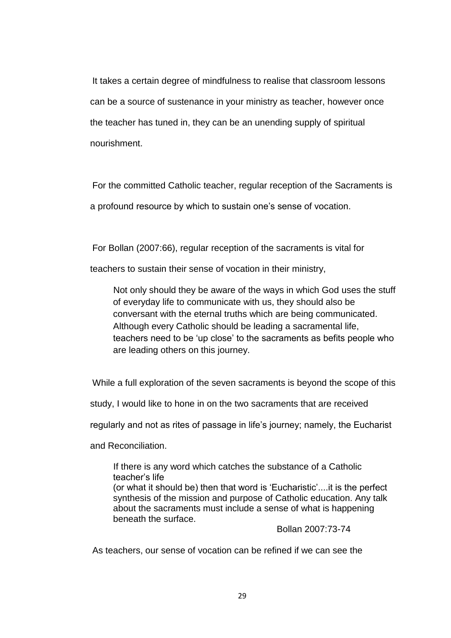It takes a certain degree of mindfulness to realise that classroom lessons can be a source of sustenance in your ministry as teacher, however once the teacher has tuned in, they can be an unending supply of spiritual nourishment.

For the committed Catholic teacher, regular reception of the Sacraments is a profound resource by which to sustain one's sense of vocation.

For Bollan (2007:66), regular reception of the sacraments is vital for

teachers to sustain their sense of vocation in their ministry,

Not only should they be aware of the ways in which God uses the stuff of everyday life to communicate with us, they should also be conversant with the eternal truths which are being communicated. Although every Catholic should be leading a sacramental life, teachers need to be 'up close' to the sacraments as befits people who are leading others on this journey.

While a full exploration of the seven sacraments is beyond the scope of this

study, I would like to hone in on the two sacraments that are received

regularly and not as rites of passage in life's journey; namely, the Eucharist

and Reconciliation.

If there is any word which catches the substance of a Catholic teacher's life

(or what it should be) then that word is 'Eucharistic'....it is the perfect synthesis of the mission and purpose of Catholic education. Any talk about the sacraments must include a sense of what is happening beneath the surface.

Bollan 2007:73-74

As teachers, our sense of vocation can be refined if we can see the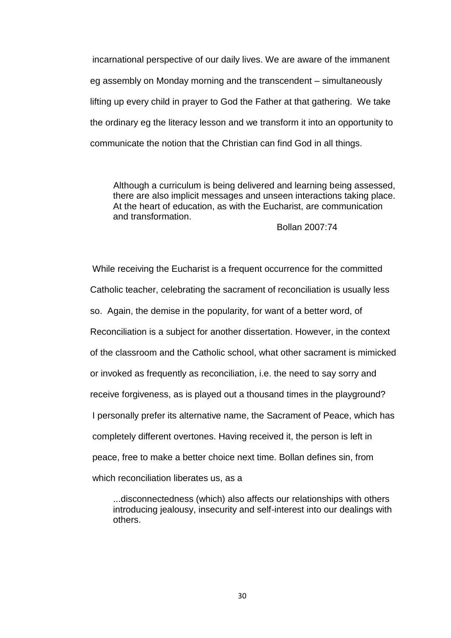incarnational perspective of our daily lives. We are aware of the immanent eg assembly on Monday morning and the transcendent – simultaneously lifting up every child in prayer to God the Father at that gathering. We take the ordinary eg the literacy lesson and we transform it into an opportunity to communicate the notion that the Christian can find God in all things.

Although a curriculum is being delivered and learning being assessed, there are also implicit messages and unseen interactions taking place. At the heart of education, as with the Eucharist, are communication and transformation.

Bollan 2007:74

While receiving the Eucharist is a frequent occurrence for the committed Catholic teacher, celebrating the sacrament of reconciliation is usually less so. Again, the demise in the popularity, for want of a better word, of Reconciliation is a subject for another dissertation. However, in the context of the classroom and the Catholic school, what other sacrament is mimicked or invoked as frequently as reconciliation, i.e. the need to say sorry and receive forgiveness, as is played out a thousand times in the playground? I personally prefer its alternative name, the Sacrament of Peace, which has completely different overtones. Having received it, the person is left in peace, free to make a better choice next time. Bollan defines sin, from which reconciliation liberates us, as a

...disconnectedness (which) also affects our relationships with others introducing jealousy, insecurity and self-interest into our dealings with others.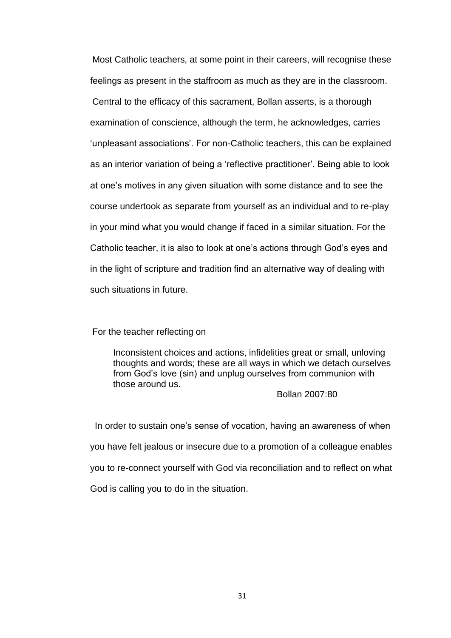Most Catholic teachers, at some point in their careers, will recognise these feelings as present in the staffroom as much as they are in the classroom. Central to the efficacy of this sacrament, Bollan asserts, is a thorough examination of conscience, although the term, he acknowledges, carries 'unpleasant associations'. For non-Catholic teachers, this can be explained as an interior variation of being a 'reflective practitioner'. Being able to look at one's motives in any given situation with some distance and to see the course undertook as separate from yourself as an individual and to re-play in your mind what you would change if faced in a similar situation. For the Catholic teacher, it is also to look at one's actions through God's eyes and in the light of scripture and tradition find an alternative way of dealing with such situations in future.

For the teacher reflecting on

Inconsistent choices and actions, infidelities great or small, unloving thoughts and words; these are all ways in which we detach ourselves from God's love (sin) and unplug ourselves from communion with those around us.

#### Bollan 2007:80

In order to sustain one's sense of vocation, having an awareness of when you have felt jealous or insecure due to a promotion of a colleague enables you to re-connect yourself with God via reconciliation and to reflect on what God is calling you to do in the situation.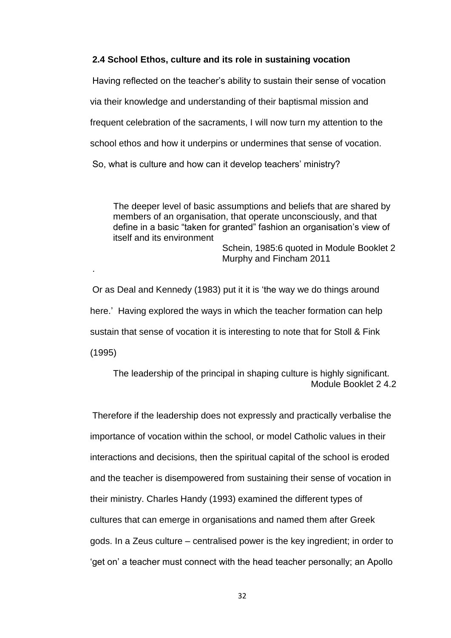## **2.4 School Ethos, culture and its role in sustaining vocation**

Having reflected on the teacher's ability to sustain their sense of vocation via their knowledge and understanding of their baptismal mission and frequent celebration of the sacraments, I will now turn my attention to the school ethos and how it underpins or undermines that sense of vocation. So, what is culture and how can it develop teachers' ministry?

The deeper level of basic assumptions and beliefs that are shared by members of an organisation, that operate unconsciously, and that define in a basic "taken for granted" fashion an organisation's view of itself and its environment

Schein, 1985:6 quoted in Module Booklet 2 Murphy and Fincham 2011

Or as Deal and Kennedy (1983) put it it is 'the way we do things around here.' Having explored the ways in which the teacher formation can help sustain that sense of vocation it is interesting to note that for Stoll & Fink (1995)

.

The leadership of the principal in shaping culture is highly significant. Module Booklet 2 4.2

Therefore if the leadership does not expressly and practically verbalise the importance of vocation within the school, or model Catholic values in their interactions and decisions, then the spiritual capital of the school is eroded and the teacher is disempowered from sustaining their sense of vocation in their ministry. Charles Handy (1993) examined the different types of cultures that can emerge in organisations and named them after Greek gods. In a Zeus culture – centralised power is the key ingredient; in order to 'get on' a teacher must connect with the head teacher personally; an Apollo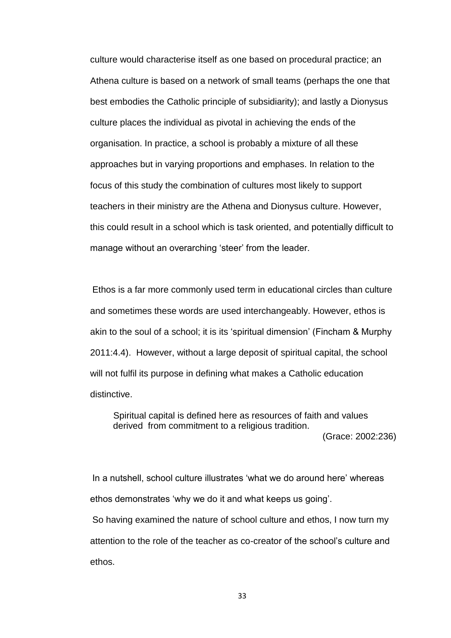culture would characterise itself as one based on procedural practice; an Athena culture is based on a network of small teams (perhaps the one that best embodies the Catholic principle of subsidiarity); and lastly a Dionysus culture places the individual as pivotal in achieving the ends of the organisation. In practice, a school is probably a mixture of all these approaches but in varying proportions and emphases. In relation to the focus of this study the combination of cultures most likely to support teachers in their ministry are the Athena and Dionysus culture. However, this could result in a school which is task oriented, and potentially difficult to manage without an overarching 'steer' from the leader.

Ethos is a far more commonly used term in educational circles than culture and sometimes these words are used interchangeably. However, ethos is akin to the soul of a school; it is its 'spiritual dimension' (Fincham & Murphy 2011:4.4). However, without a large deposit of spiritual capital, the school will not fulfil its purpose in defining what makes a Catholic education distinctive.

Spiritual capital is defined here as resources of faith and values derived from commitment to a religious tradition.

(Grace: 2002:236)

In a nutshell, school culture illustrates 'what we do around here' whereas ethos demonstrates 'why we do it and what keeps us going'.

So having examined the nature of school culture and ethos, I now turn my attention to the role of the teacher as co-creator of the school's culture and ethos.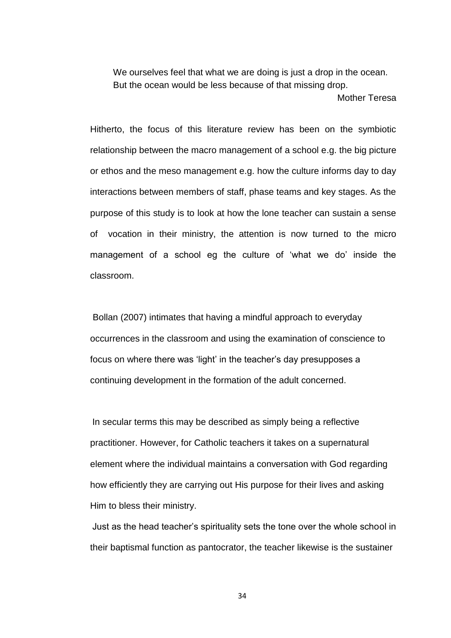We ourselves feel that what we are doing is just a drop in the ocean. But the ocean would be less because of that missing drop.

[Mother Teresa](http://www.brainyquote.com/quotes/authors/m/mother_teresa.html)

Hitherto, the focus of this literature review has been on the symbiotic relationship between the macro management of a school e.g. the big picture or ethos and the meso management e.g. how the culture informs day to day interactions between members of staff, phase teams and key stages. As the purpose of this study is to look at how the lone teacher can sustain a sense of vocation in their ministry, the attention is now turned to the micro management of a school eg the culture of 'what we do' inside the classroom.

Bollan (2007) intimates that having a mindful approach to everyday occurrences in the classroom and using the examination of conscience to focus on where there was 'light' in the teacher's day presupposes a continuing development in the formation of the adult concerned.

In secular terms this may be described as simply being a reflective practitioner. However, for Catholic teachers it takes on a supernatural element where the individual maintains a conversation with God regarding how efficiently they are carrying out His purpose for their lives and asking Him to bless their ministry.

Just as the head teacher's spirituality sets the tone over the whole school in their baptismal function as pantocrator, the teacher likewise is the sustainer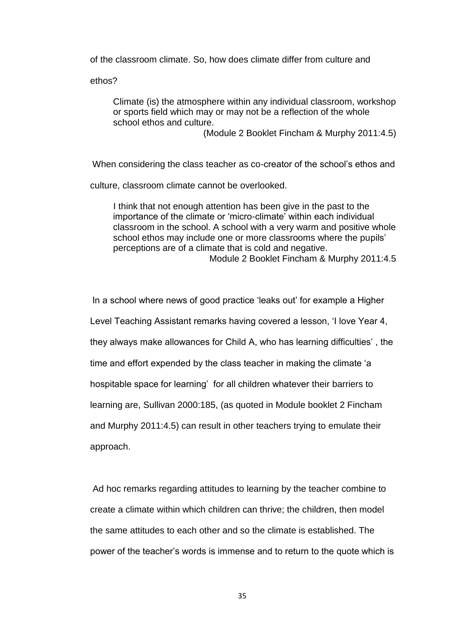of the classroom climate. So, how does climate differ from culture and

ethos?

Climate (is) the atmosphere within any individual classroom, workshop or sports field which may or may not be a reflection of the whole school ethos and culture.

(Module 2 Booklet Fincham & Murphy 2011:4.5)

When considering the class teacher as co-creator of the school's ethos and

culture, classroom climate cannot be overlooked.

I think that not enough attention has been give in the past to the importance of the climate or 'micro-climate' within each individual classroom in the school. A school with a very warm and positive whole school ethos may include one or more classrooms where the pupils' perceptions are of a climate that is cold and negative. Module 2 Booklet Fincham & Murphy 2011:4.5

In a school where news of good practice 'leaks out' for example a Higher Level Teaching Assistant remarks having covered a lesson, 'I love Year 4, they always make allowances for Child A, who has learning difficulties' , the time and effort expended by the class teacher in making the climate 'a hospitable space for learning' for all children whatever their barriers to learning are, Sullivan 2000:185, (as quoted in Module booklet 2 Fincham and Murphy 2011:4.5) can result in other teachers trying to emulate their approach.

Ad hoc remarks regarding attitudes to learning by the teacher combine to create a climate within which children can thrive; the children, then model the same attitudes to each other and so the climate is established. The power of the teacher's words is immense and to return to the quote which is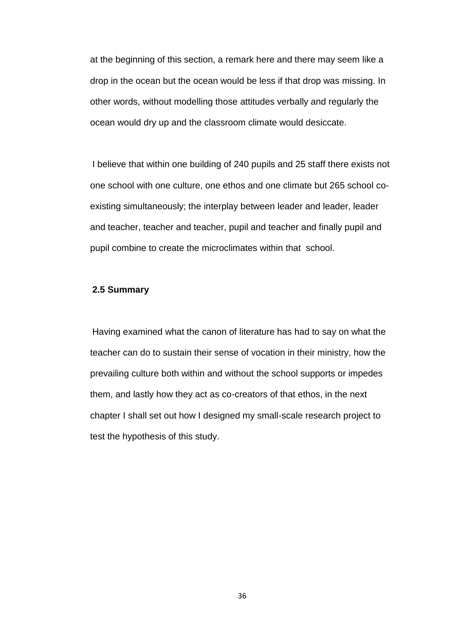at the beginning of this section, a remark here and there may seem like a drop in the ocean but the ocean would be less if that drop was missing. In other words, without modelling those attitudes verbally and regularly the ocean would dry up and the classroom climate would desiccate.

I believe that within one building of 240 pupils and 25 staff there exists not one school with one culture, one ethos and one climate but 265 school coexisting simultaneously; the interplay between leader and leader, leader and teacher, teacher and teacher, pupil and teacher and finally pupil and pupil combine to create the microclimates within that school.

#### **2.5 Summary**

Having examined what the canon of literature has had to say on what the teacher can do to sustain their sense of vocation in their ministry, how the prevailing culture both within and without the school supports or impedes them, and lastly how they act as co-creators of that ethos, in the next chapter I shall set out how I designed my small-scale research project to test the hypothesis of this study.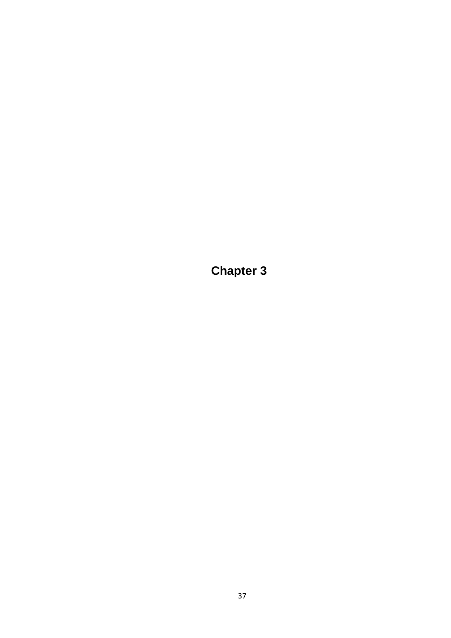**Chapter 3**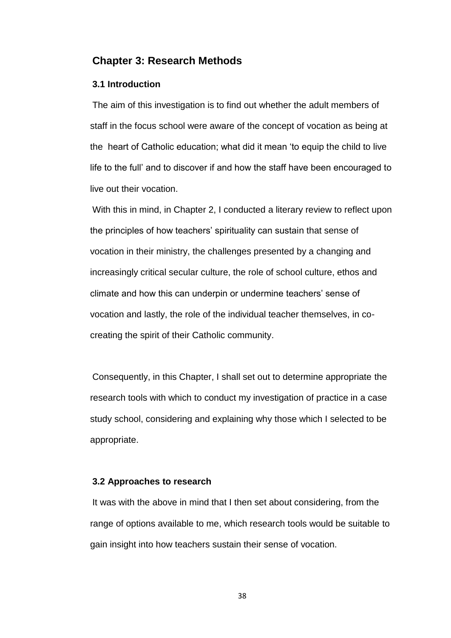## **Chapter 3: Research Methods**

#### **3.1 Introduction**

The aim of this investigation is to find out whether the adult members of staff in the focus school were aware of the concept of vocation as being at the heart of Catholic education; what did it mean 'to equip the child to live life to the full' and to discover if and how the staff have been encouraged to live out their vocation.

With this in mind, in Chapter 2, I conducted a literary review to reflect upon the principles of how teachers' spirituality can sustain that sense of vocation in their ministry, the challenges presented by a changing and increasingly critical secular culture, the role of school culture, ethos and climate and how this can underpin or undermine teachers' sense of vocation and lastly, the role of the individual teacher themselves, in cocreating the spirit of their Catholic community.

Consequently, in this Chapter, I shall set out to determine appropriate the research tools with which to conduct my investigation of practice in a case study school, considering and explaining why those which I selected to be appropriate.

#### **3.2 Approaches to research**

It was with the above in mind that I then set about considering, from the range of options available to me, which research tools would be suitable to gain insight into how teachers sustain their sense of vocation.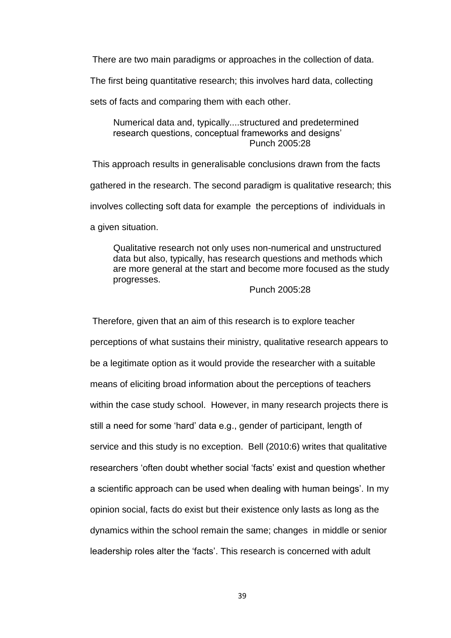There are two main paradigms or approaches in the collection of data.

The first being quantitative research; this involves hard data, collecting

sets of facts and comparing them with each other.

Numerical data and, typically....structured and predetermined research questions, conceptual frameworks and designs' Punch 2005:28

This approach results in generalisable conclusions drawn from the facts gathered in the research. The second paradigm is qualitative research; this involves collecting soft data for example the perceptions of individuals in a given situation.

Qualitative research not only uses non-numerical and unstructured data but also, typically, has research questions and methods which are more general at the start and become more focused as the study progresses.

### Punch 2005:28

Therefore, given that an aim of this research is to explore teacher perceptions of what sustains their ministry, qualitative research appears to be a legitimate option as it would provide the researcher with a suitable means of eliciting broad information about the perceptions of teachers within the case study school. However, in many research projects there is still a need for some 'hard' data e.g., gender of participant, length of service and this study is no exception. Bell (2010:6) writes that qualitative researchers 'often doubt whether social 'facts' exist and question whether a scientific approach can be used when dealing with human beings'. In my opinion social, facts do exist but their existence only lasts as long as the dynamics within the school remain the same; changes in middle or senior leadership roles alter the 'facts'. This research is concerned with adult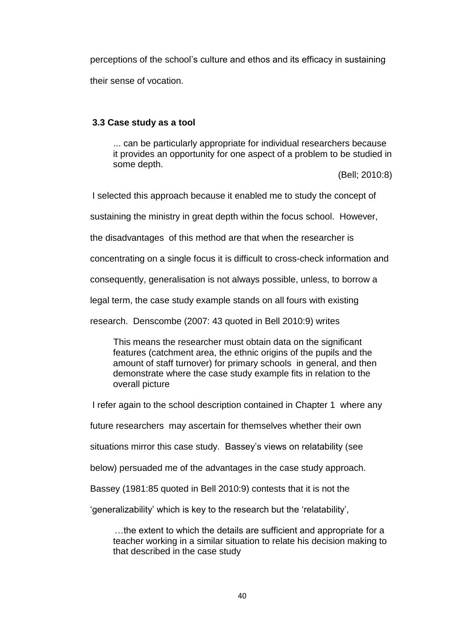perceptions of the school's culture and ethos and its efficacy in sustaining their sense of vocation.

## **3.3 Case study as a tool**

... can be particularly appropriate for individual researchers because it provides an opportunity for one aspect of a problem to be studied in some depth.

(Bell; 2010:8)

I selected this approach because it enabled me to study the concept of

sustaining the ministry in great depth within the focus school. However,

the disadvantages of this method are that when the researcher is

concentrating on a single focus it is difficult to cross-check information and

consequently, generalisation is not always possible, unless, to borrow a

legal term, the case study example stands on all fours with existing

research. Denscombe (2007: 43 quoted in Bell 2010:9) writes

This means the researcher must obtain data on the significant features (catchment area, the ethnic origins of the pupils and the amount of staff turnover) for primary schools in general, and then demonstrate where the case study example fits in relation to the overall picture

I refer again to the school description contained in Chapter 1 where any

future researchers may ascertain for themselves whether their own

situations mirror this case study. Bassey's views on relatability (see

below) persuaded me of the advantages in the case study approach.

Bassey (1981:85 quoted in Bell 2010:9) contests that it is not the

'generalizability' which is key to the research but the 'relatability',

…the extent to which the details are sufficient and appropriate for a teacher working in a similar situation to relate his decision making to that described in the case study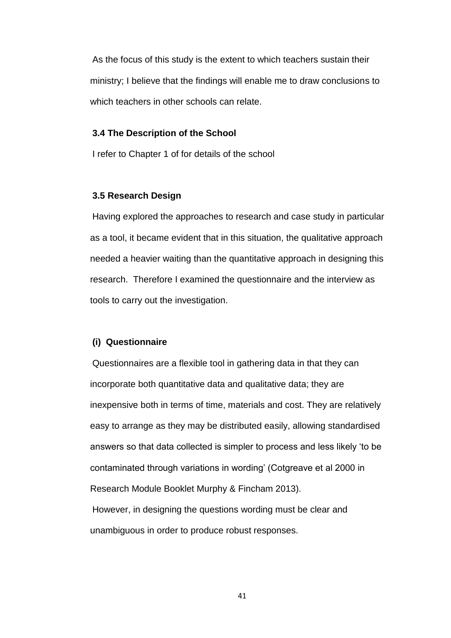As the focus of this study is the extent to which teachers sustain their ministry; I believe that the findings will enable me to draw conclusions to which teachers in other schools can relate.

#### **3.4 The Description of the School**

I refer to Chapter 1 of for details of the school

#### **3.5 Research Design**

Having explored the approaches to research and case study in particular as a tool, it became evident that in this situation, the qualitative approach needed a heavier waiting than the quantitative approach in designing this research. Therefore I examined the questionnaire and the interview as tools to carry out the investigation.

#### **(i) Questionnaire**

Questionnaires are a flexible tool in gathering data in that they can incorporate both quantitative data and qualitative data; they are inexpensive both in terms of time, materials and cost. They are relatively easy to arrange as they may be distributed easily, allowing standardised answers so that data collected is simpler to process and less likely 'to be contaminated through variations in wording' (Cotgreave et al 2000 in Research Module Booklet Murphy & Fincham 2013). However, in designing the questions wording must be clear and unambiguous in order to produce robust responses.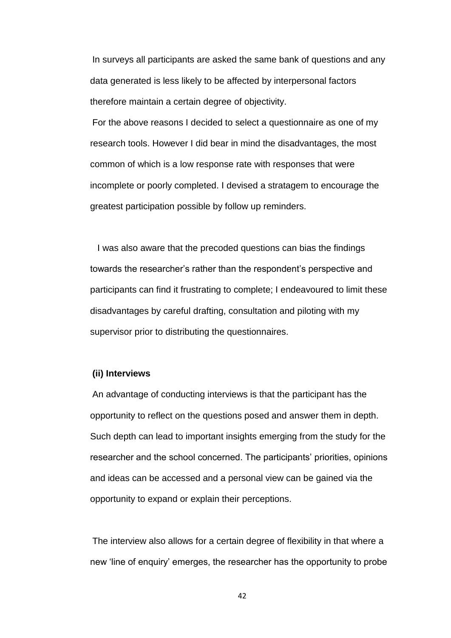In surveys all participants are asked the same bank of questions and any data generated is less likely to be affected by interpersonal factors therefore maintain a certain degree of objectivity.

For the above reasons I decided to select a questionnaire as one of my research tools. However I did bear in mind the disadvantages, the most common of which is a low response rate with responses that were incomplete or poorly completed. I devised a stratagem to encourage the greatest participation possible by follow up reminders.

 I was also aware that the precoded questions can bias the findings towards the researcher's rather than the respondent's perspective and participants can find it frustrating to complete; I endeavoured to limit these disadvantages by careful drafting, consultation and piloting with my supervisor prior to distributing the questionnaires.

#### **(ii) Interviews**

An advantage of conducting interviews is that the participant has the opportunity to reflect on the questions posed and answer them in depth. Such depth can lead to important insights emerging from the study for the researcher and the school concerned. The participants' priorities, opinions and ideas can be accessed and a personal view can be gained via the opportunity to expand or explain their perceptions.

The interview also allows for a certain degree of flexibility in that where a new 'line of enquiry' emerges, the researcher has the opportunity to probe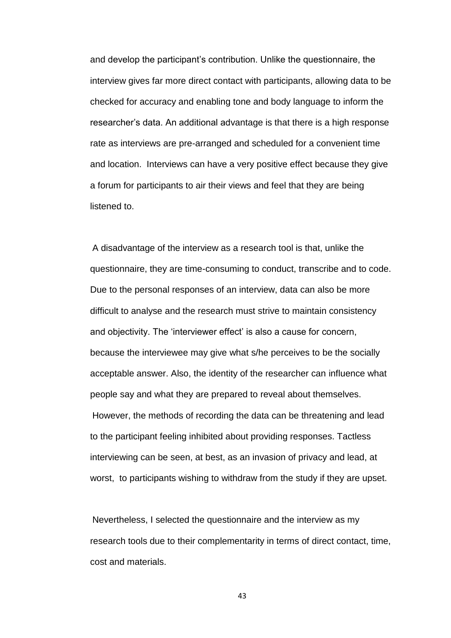and develop the participant's contribution. Unlike the questionnaire, the interview gives far more direct contact with participants, allowing data to be checked for accuracy and enabling tone and body language to inform the researcher's data. An additional advantage is that there is a high response rate as interviews are pre-arranged and scheduled for a convenient time and location. Interviews can have a very positive effect because they give a forum for participants to air their views and feel that they are being listened to.

A disadvantage of the interview as a research tool is that, unlike the questionnaire, they are time-consuming to conduct, transcribe and to code. Due to the personal responses of an interview, data can also be more difficult to analyse and the research must strive to maintain consistency and objectivity. The 'interviewer effect' is also a cause for concern, because the interviewee may give what s/he perceives to be the socially acceptable answer. Also, the identity of the researcher can influence what people say and what they are prepared to reveal about themselves. However, the methods of recording the data can be threatening and lead to the participant feeling inhibited about providing responses. Tactless interviewing can be seen, at best, as an invasion of privacy and lead, at worst, to participants wishing to withdraw from the study if they are upset.

Nevertheless, I selected the questionnaire and the interview as my research tools due to their complementarity in terms of direct contact, time, cost and materials.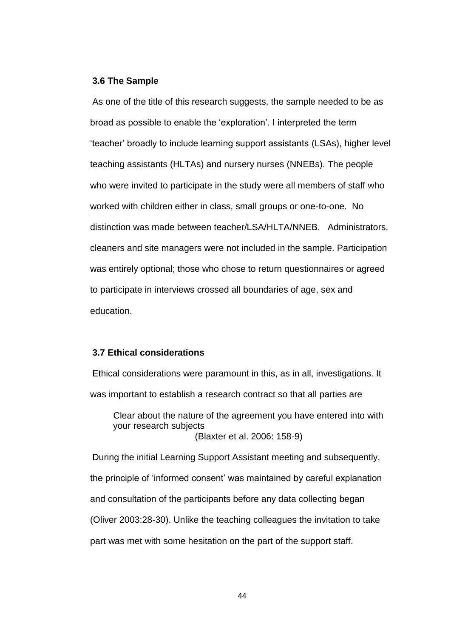#### **3.6 The Sample**

As one of the title of this research suggests, the sample needed to be as broad as possible to enable the 'exploration'. I interpreted the term 'teacher' broadly to include learning support assistants (LSAs), higher level teaching assistants (HLTAs) and nursery nurses (NNEBs). The people who were invited to participate in the study were all members of staff who worked with children either in class, small groups or one-to-one. No distinction was made between teacher/LSA/HLTA/NNEB. Administrators, cleaners and site managers were not included in the sample. Participation was entirely optional; those who chose to return questionnaires or agreed to participate in interviews crossed all boundaries of age, sex and education.

### **3.7 Ethical considerations**

Ethical considerations were paramount in this, as in all, investigations. It was important to establish a research contract so that all parties are Clear about the nature of the agreement you have entered into with your research subjects (Blaxter et al. 2006: 158-9) During the initial Learning Support Assistant meeting and subsequently, the principle of 'informed consent' was maintained by careful explanation and consultation of the participants before any data collecting began (Oliver 2003:28-30). Unlike the teaching colleagues the invitation to take part was met with some hesitation on the part of the support staff.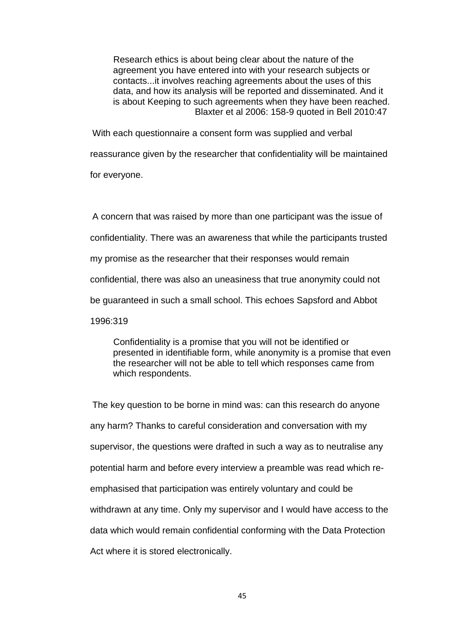Research ethics is about being clear about the nature of the agreement you have entered into with your research subjects or contacts...it involves reaching agreements about the uses of this data, and how its analysis will be reported and disseminated. And it is about Keeping to such agreements when they have been reached. Blaxter et al 2006: 158-9 quoted in Bell 2010:47

With each questionnaire a consent form was supplied and verbal reassurance given by the researcher that confidentiality will be maintained for everyone.

A concern that was raised by more than one participant was the issue of confidentiality. There was an awareness that while the participants trusted my promise as the researcher that their responses would remain confidential, there was also an uneasiness that true anonymity could not be guaranteed in such a small school. This echoes Sapsford and Abbot 1996:319

Confidentiality is a promise that you will not be identified or presented in identifiable form, while anonymity is a promise that even the researcher will not be able to tell which responses came from which respondents.

The key question to be borne in mind was: can this research do anyone any harm? Thanks to careful consideration and conversation with my supervisor, the questions were drafted in such a way as to neutralise any potential harm and before every interview a preamble was read which reemphasised that participation was entirely voluntary and could be withdrawn at any time. Only my supervisor and I would have access to the data which would remain confidential conforming with the Data Protection Act where it is stored electronically.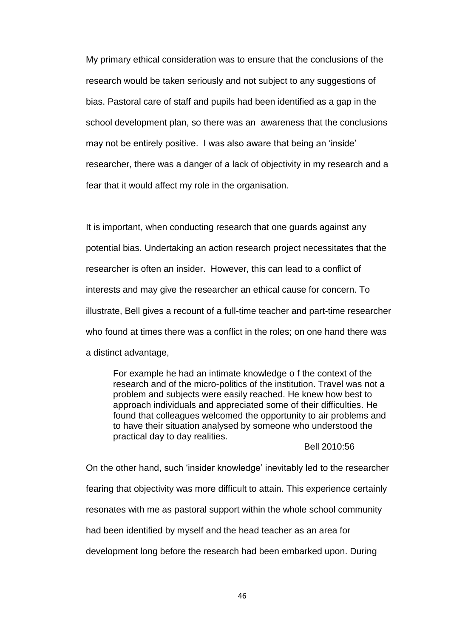My primary ethical consideration was to ensure that the conclusions of the research would be taken seriously and not subject to any suggestions of bias. Pastoral care of staff and pupils had been identified as a gap in the school development plan, so there was an awareness that the conclusions may not be entirely positive. I was also aware that being an 'inside' researcher, there was a danger of a lack of objectivity in my research and a fear that it would affect my role in the organisation.

It is important, when conducting research that one guards against any potential bias. Undertaking an action research project necessitates that the researcher is often an insider. However, this can lead to a conflict of interests and may give the researcher an ethical cause for concern. To illustrate, Bell gives a recount of a full-time teacher and part-time researcher who found at times there was a conflict in the roles; on one hand there was a distinct advantage,

For example he had an intimate knowledge o f the context of the research and of the micro-politics of the institution. Travel was not a problem and subjects were easily reached. He knew how best to approach individuals and appreciated some of their difficulties. He found that colleagues welcomed the opportunity to air problems and to have their situation analysed by someone who understood the practical day to day realities.

#### Bell 2010:56

On the other hand, such 'insider knowledge' inevitably led to the researcher fearing that objectivity was more difficult to attain. This experience certainly resonates with me as pastoral support within the whole school community had been identified by myself and the head teacher as an area for development long before the research had been embarked upon. During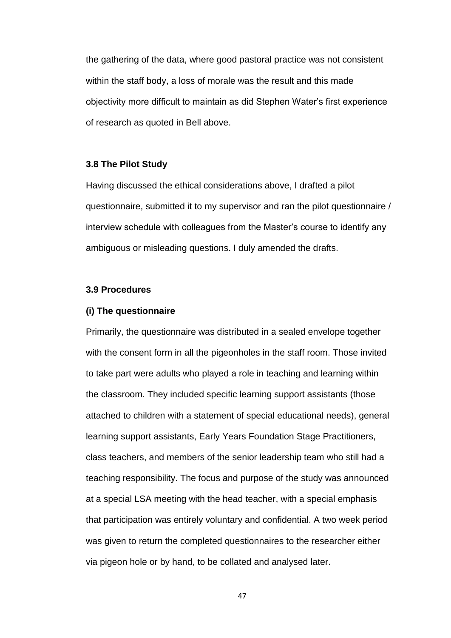the gathering of the data, where good pastoral practice was not consistent within the staff body, a loss of morale was the result and this made objectivity more difficult to maintain as did Stephen Water's first experience of research as quoted in Bell above.

### **3.8 The Pilot Study**

Having discussed the ethical considerations above, I drafted a pilot questionnaire, submitted it to my supervisor and ran the pilot questionnaire / interview schedule with colleagues from the Master's course to identify any ambiguous or misleading questions. I duly amended the drafts.

### **3.9 Procedures**

#### **(i) The questionnaire**

Primarily, the questionnaire was distributed in a sealed envelope together with the consent form in all the pigeonholes in the staff room. Those invited to take part were adults who played a role in teaching and learning within the classroom. They included specific learning support assistants (those attached to children with a statement of special educational needs), general learning support assistants, Early Years Foundation Stage Practitioners, class teachers, and members of the senior leadership team who still had a teaching responsibility. The focus and purpose of the study was announced at a special LSA meeting with the head teacher, with a special emphasis that participation was entirely voluntary and confidential. A two week period was given to return the completed questionnaires to the researcher either via pigeon hole or by hand, to be collated and analysed later.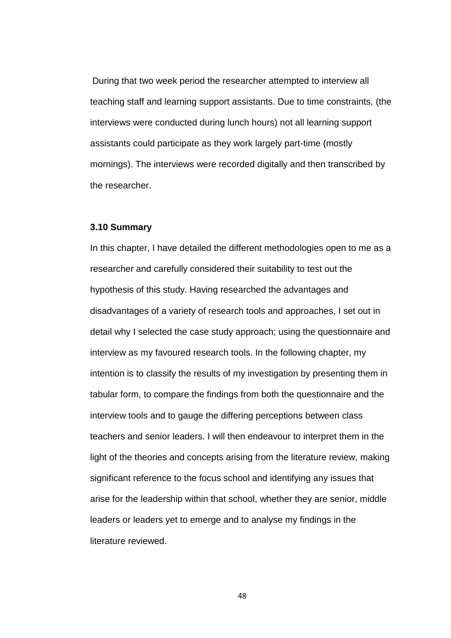During that two week period the researcher attempted to interview all teaching staff and learning support assistants. Due to time constraints, (the interviews were conducted during lunch hours) not all learning support assistants could participate as they work largely part-time (mostly mornings). The interviews were recorded digitally and then transcribed by the researcher.

#### **3.10 Summary**

In this chapter, I have detailed the different methodologies open to me as a researcher and carefully considered their suitability to test out the hypothesis of this study. Having researched the advantages and disadvantages of a variety of research tools and approaches, I set out in detail why I selected the case study approach; using the questionnaire and interview as my favoured research tools. In the following chapter, my intention is to classify the results of my investigation by presenting them in tabular form, to compare the findings from both the questionnaire and the interview tools and to gauge the differing perceptions between class teachers and senior leaders. I will then endeavour to interpret them in the light of the theories and concepts arising from the literature review, making significant reference to the focus school and identifying any issues that arise for the leadership within that school, whether they are senior, middle leaders or leaders yet to emerge and to analyse my findings in the literature reviewed.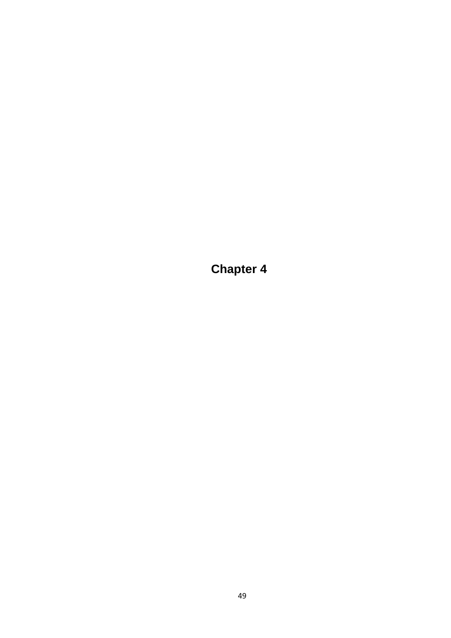**Chapter 4**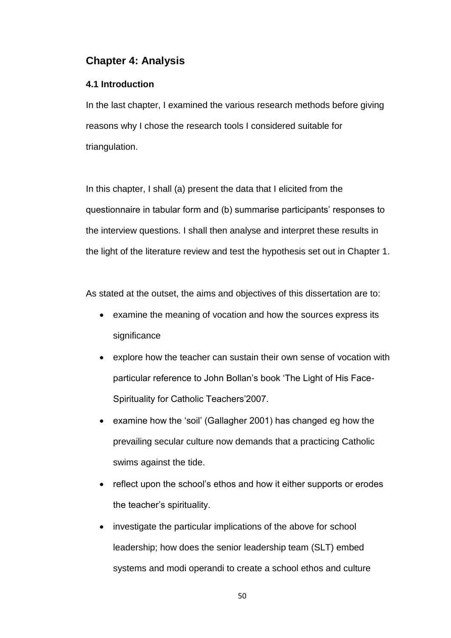# **Chapter 4: Analysis**

## **4.1 Introduction**

In the last chapter, I examined the various research methods before giving reasons why I chose the research tools I considered suitable for triangulation.

In this chapter, I shall (a) present the data that I elicited from the questionnaire in tabular form and (b) summarise participants' responses to the interview questions. I shall then analyse and interpret these results in the light of the literature review and test the hypothesis set out in Chapter 1.

As stated at the outset, the aims and objectives of this dissertation are to:

- examine the meaning of vocation and how the sources express its significance
- explore how the teacher can sustain their own sense of vocation with particular reference to John Bollan's book 'The Light of His Face-Spirituality for Catholic Teachers'2007.
- examine how the 'soil' (Gallagher 2001) has changed eg how the prevailing secular culture now demands that a practicing Catholic swims against the tide.
- reflect upon the school's ethos and how it either supports or erodes the teacher's spirituality.
- investigate the particular implications of the above for school leadership; how does the senior leadership team (SLT) embed systems and modi operandi to create a school ethos and culture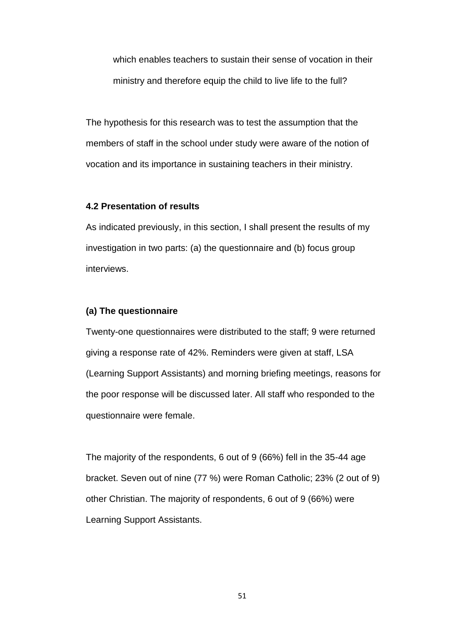which enables teachers to sustain their sense of vocation in their ministry and therefore equip the child to live life to the full?

The hypothesis for this research was to test the assumption that the members of staff in the school under study were aware of the notion of vocation and its importance in sustaining teachers in their ministry.

### **4.2 Presentation of results**

As indicated previously, in this section, I shall present the results of my investigation in two parts: (a) the questionnaire and (b) focus group interviews.

### **(a) The questionnaire**

Twenty-one questionnaires were distributed to the staff; 9 were returned giving a response rate of 42%. Reminders were given at staff, LSA (Learning Support Assistants) and morning briefing meetings, reasons for the poor response will be discussed later. All staff who responded to the questionnaire were female.

The majority of the respondents, 6 out of 9 (66%) fell in the 35-44 age bracket. Seven out of nine (77 %) were Roman Catholic; 23% (2 out of 9) other Christian. The majority of respondents, 6 out of 9 (66%) were Learning Support Assistants.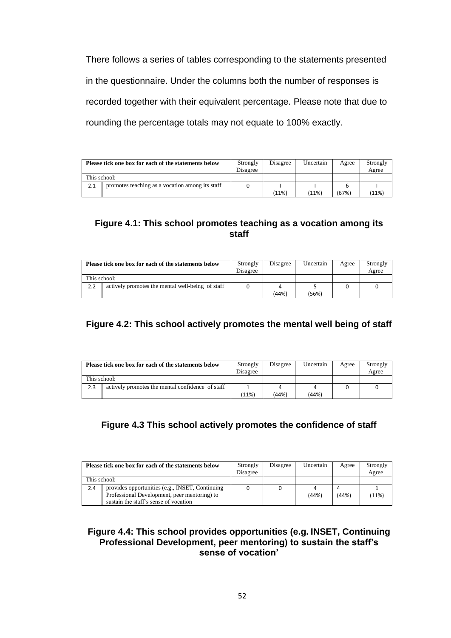There follows a series of tables corresponding to the statements presented in the questionnaire. Under the columns both the number of responses is recorded together with their equivalent percentage. Please note that due to rounding the percentage totals may not equate to 100% exactly.

|              | Please tick one box for each of the statements below | Strongly<br>Disagree | Disagree | Uncertain | Agree | Strongly<br>Agree |
|--------------|------------------------------------------------------|----------------------|----------|-----------|-------|-------------------|
| This school: |                                                      |                      |          |           |       |                   |
| 2.1          | promotes teaching as a vocation among its staff      |                      |          |           |       |                   |
|              |                                                      |                      | (11%)    | (11%)     | (67%) | (11%)             |

## **Figure 4.1: This school promotes teaching as a vocation among its staff**

|              | Please tick one box for each of the statements below | Strongly<br>Disagree | Disagree | Uncertain | Agree | Strongly<br>Agree |
|--------------|------------------------------------------------------|----------------------|----------|-----------|-------|-------------------|
| This school: |                                                      |                      |          |           |       |                   |
| 2.2          | actively promotes the mental well-being of staff     |                      |          |           |       |                   |
|              |                                                      |                      | (44%)    | (56%)     |       |                   |

## **Figure 4.2: This school actively promotes the mental well being of staff**

|              | Please tick one box for each of the statements below | Strongly<br>Disagree | Disagree | Uncertain | Agree | Strongly<br>Agree |
|--------------|------------------------------------------------------|----------------------|----------|-----------|-------|-------------------|
| This school: |                                                      |                      |          |           |       |                   |
| 2.3          | actively promotes the mental confidence of staff     |                      |          |           |       |                   |
|              |                                                      | (11%)                | (44%)    | (44%)     |       |                   |

## **Figure 4.3 This school actively promotes the confidence of staff**

|              | Please tick one box for each of the statements below                                                                                     | Strongly<br>Disagree | Disagree | Uncertain | Agree | Strongly<br>Agree |
|--------------|------------------------------------------------------------------------------------------------------------------------------------------|----------------------|----------|-----------|-------|-------------------|
| This school: |                                                                                                                                          |                      |          |           |       |                   |
| 2.4          | provides opportunities (e.g., INSET, Continuing<br>Professional Development, peer mentoring) to<br>sustain the staff's sense of vocation |                      |          | (44%)     | (44%) | (11%)             |

### **Figure 4.4: This school provides opportunities (e.g. INSET, Continuing Professional Development, peer mentoring) to sustain the staff's sense of vocation'**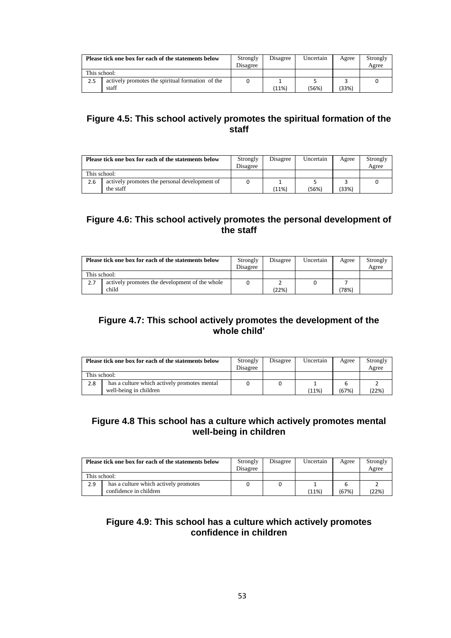|              | Please tick one box for each of the statements below | Strongly<br>Disagree | Disagree | Uncertain | Agree | Strongly<br>Agree |
|--------------|------------------------------------------------------|----------------------|----------|-----------|-------|-------------------|
| This school: |                                                      |                      |          |           |       |                   |
| 2.5          | actively promotes the spiritual formation of the     |                      |          |           |       |                   |
|              | staff                                                |                      | (11%)    | (56%)     | (33%) |                   |

## **Figure 4.5: This school actively promotes the spiritual formation of the staff**

|              | Please tick one box for each of the statements below       | Strongly<br>Disagree | Disagree | Uncertain | Agree  | Strongly<br>Agree |
|--------------|------------------------------------------------------------|----------------------|----------|-----------|--------|-------------------|
| This school: |                                                            |                      |          |           |        |                   |
| 2.6          | actively promotes the personal development of<br>the staff |                      | (11%)    | (56%)     | $33\%$ |                   |

## **Figure 4.6: This school actively promotes the personal development of the staff**

|     | Please tick one box for each of the statements below | Strongly<br>Disagree | Disagree | Uncertain | Agree | Strongly<br>Agree |
|-----|------------------------------------------------------|----------------------|----------|-----------|-------|-------------------|
|     | This school:                                         |                      |          |           |       |                   |
| 2.7 | actively promotes the development of the whole       |                      |          |           |       |                   |
|     | child                                                |                      | (22%)    |           | '78%) |                   |

## **Figure 4.7: This school actively promotes the development of the whole child'**

|              | Please tick one box for each of the statements below                   | Strongly<br>Disagree | Disagree | Uncertain | Agree | Strongly<br>Agree |
|--------------|------------------------------------------------------------------------|----------------------|----------|-----------|-------|-------------------|
| This school: |                                                                        |                      |          |           |       |                   |
| 2.8          | has a culture which actively promotes mental<br>well-being in children |                      |          | (11%)     | (67%) | (22%)             |

## **Figure 4.8 This school has a culture which actively promotes mental well-being in children**

|              | Please tick one box for each of the statements below | Strongly<br>Disagree | Disagree | Uncertain | Agree | Strongly<br>Agree |
|--------------|------------------------------------------------------|----------------------|----------|-----------|-------|-------------------|
| This school: |                                                      |                      |          |           |       |                   |
| 2.9          | has a culture which actively promotes                |                      |          |           |       |                   |
|              | confidence in children                               |                      |          | (11%)     | (67%) | (22%)             |

## **Figure 4.9: This school has a culture which actively promotes confidence in children**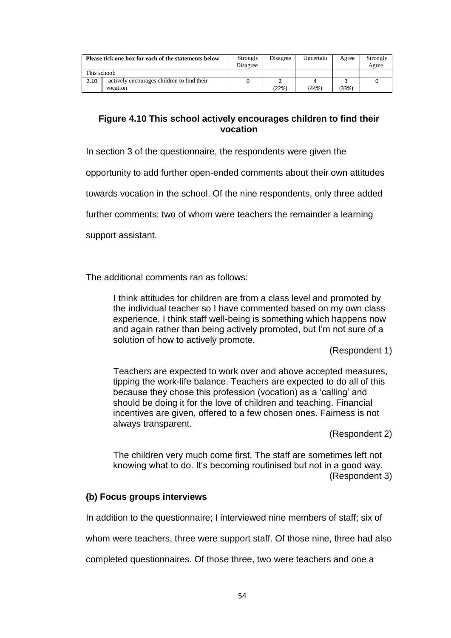|              | Please tick one box for each of the statements below | Strongly<br>Disagree | Disagree | Uncertain | Agree | Strongly<br>Agree |
|--------------|------------------------------------------------------|----------------------|----------|-----------|-------|-------------------|
| This school: |                                                      |                      |          |           |       |                   |
| 2.10         | actively encourages children to find their           |                      |          |           |       |                   |
|              | vocation                                             |                      | (22%)    | (44%)     | (33%) |                   |

## **Figure 4.10 This school actively encourages children to find their vocation**

In section 3 of the questionnaire, the respondents were given the

opportunity to add further open-ended comments about their own attitudes

towards vocation in the school. Of the nine respondents, only three added

further comments; two of whom were teachers the remainder a learning

support assistant.

The additional comments ran as follows:

I think attitudes for children are from a class level and promoted by the individual teacher so I have commented based on my own class experience. I think staff well-being is something which happens now and again rather than being actively promoted, but I'm not sure of a solution of how to actively promote.

(Respondent 1)

Teachers are expected to work over and above accepted measures, tipping the work-life balance. Teachers are expected to do all of this because they chose this profession (vocation) as a 'calling' and should be doing it for the love of children and teaching. Financial incentives are given, offered to a few chosen ones. Fairness is not always transparent.

(Respondent 2)

The children very much come first. The staff are sometimes left not knowing what to do. It's becoming routinised but not in a good way. (Respondent 3)

## **(b) Focus groups interviews**

In addition to the questionnaire; I interviewed nine members of staff; six of

whom were teachers, three were support staff. Of those nine, three had also

completed questionnaires. Of those three, two were teachers and one a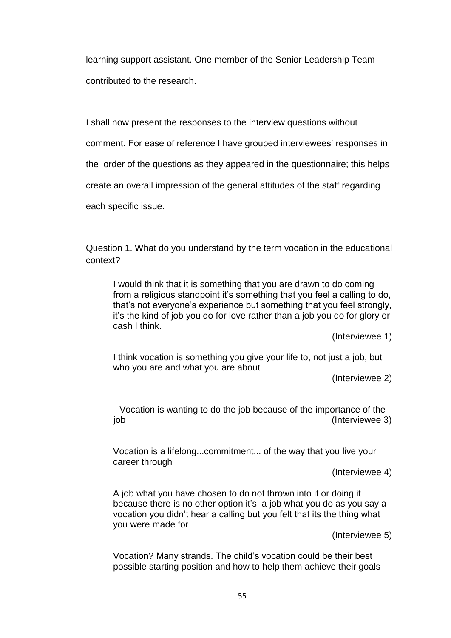learning support assistant. One member of the Senior Leadership Team contributed to the research.

I shall now present the responses to the interview questions without

comment. For ease of reference I have grouped interviewees' responses in

the order of the questions as they appeared in the questionnaire; this helps

create an overall impression of the general attitudes of the staff regarding

each specific issue.

Question 1. What do you understand by the term vocation in the educational context?

I would think that it is something that you are drawn to do coming from a religious standpoint it's something that you feel a calling to do, that's not everyone's experience but something that you feel strongly, it's the kind of job you do for love rather than a job you do for glory or cash I think.

(Interviewee 1)

I think vocation is something you give your life to, not just a job, but who you are and what you are about

(Interviewee 2)

Vocation is wanting to do the job because of the importance of the job (Interviewee 3)

Vocation is a lifelong...commitment... of the way that you live your career through

(Interviewee 4)

A job what you have chosen to do not thrown into it or doing it because there is no other option it's a job what you do as you say a vocation you didn't hear a calling but you felt that its the thing what you were made for

(Interviewee 5)

Vocation? Many strands. The child's vocation could be their best possible starting position and how to help them achieve their goals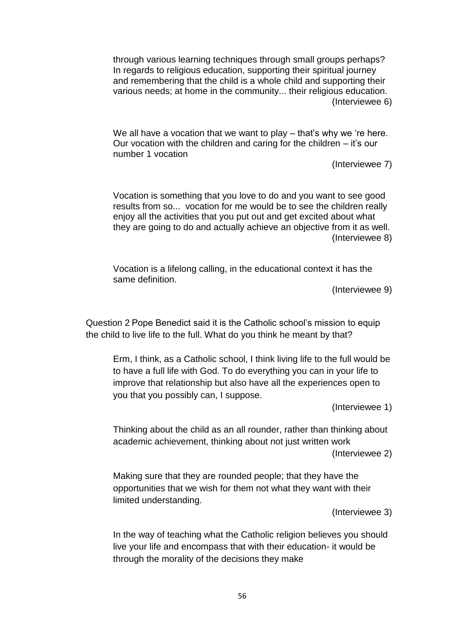through various learning techniques through small groups perhaps? In regards to religious education, supporting their spiritual journey and remembering that the child is a whole child and supporting their various needs; at home in the community... their religious education. (Interviewee 6)

We all have a vocation that we want to play – that's why we 're here. Our vocation with the children and caring for the children – it's our number 1 vocation

(Interviewee 7)

Vocation is something that you love to do and you want to see good results from so... vocation for me would be to see the children really enjoy all the activities that you put out and get excited about what they are going to do and actually achieve an objective from it as well. (Interviewee 8)

Vocation is a lifelong calling, in the educational context it has the same definition.

(Interviewee 9)

Question 2 Pope Benedict said it is the Catholic school's mission to equip the child to live life to the full. What do you think he meant by that?

Erm, I think, as a Catholic school, I think living life to the full would be to have a full life with God. To do everything you can in your life to improve that relationship but also have all the experiences open to you that you possibly can, I suppose.

(Interviewee 1)

Thinking about the child as an all rounder, rather than thinking about academic achievement, thinking about not just written work (Interviewee 2)

Making sure that they are rounded people; that they have the opportunities that we wish for them not what they want with their limited understanding.

(Interviewee 3)

In the way of teaching what the Catholic religion believes you should live your life and encompass that with their education- it would be through the morality of the decisions they make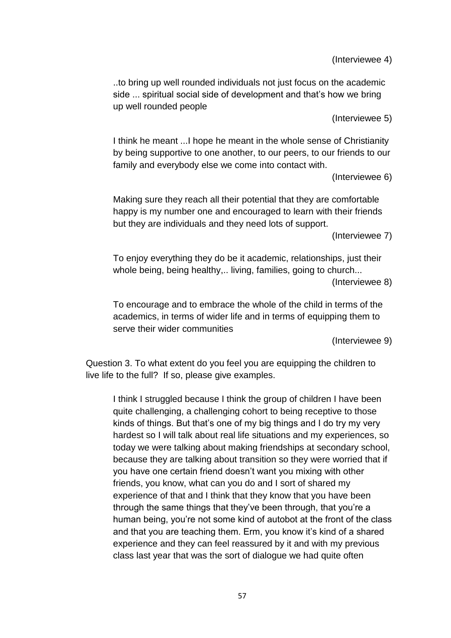(Interviewee 4)

..to bring up well rounded individuals not just focus on the academic side ... spiritual social side of development and that's how we bring up well rounded people

(Interviewee 5)

I think he meant ...I hope he meant in the whole sense of Christianity by being supportive to one another, to our peers, to our friends to our family and everybody else we come into contact with.

(Interviewee 6)

Making sure they reach all their potential that they are comfortable happy is my number one and encouraged to learn with their friends but they are individuals and they need lots of support.

(Interviewee 7)

To enjoy everything they do be it academic, relationships, just their whole being, being healthy,.. living, families, going to church... (Interviewee 8)

To encourage and to embrace the whole of the child in terms of the academics, in terms of wider life and in terms of equipping them to serve their wider communities

(Interviewee 9)

Question 3. To what extent do you feel you are equipping the children to live life to the full? If so, please give examples.

I think I struggled because I think the group of children I have been quite challenging, a challenging cohort to being receptive to those kinds of things. But that's one of my big things and I do try my very hardest so I will talk about real life situations and my experiences, so today we were talking about making friendships at secondary school, because they are talking about transition so they were worried that if you have one certain friend doesn't want you mixing with other friends, you know, what can you do and I sort of shared my experience of that and I think that they know that you have been through the same things that they've been through, that you're a human being, you're not some kind of autobot at the front of the class and that you are teaching them. Erm, you know it's kind of a shared experience and they can feel reassured by it and with my previous class last year that was the sort of dialogue we had quite often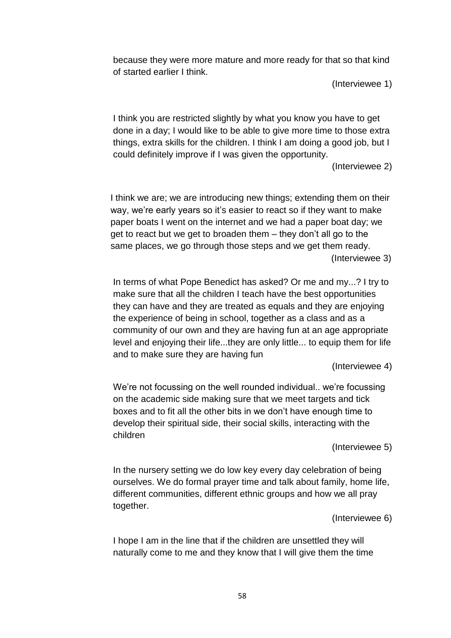because they were more mature and more ready for that so that kind of started earlier I think.

(Interviewee 1)

I think you are restricted slightly by what you know you have to get done in a day; I would like to be able to give more time to those extra things, extra skills for the children. I think I am doing a good job, but I could definitely improve if I was given the opportunity.

(Interviewee 2)

I think we are; we are introducing new things; extending them on their way, we're early years so it's easier to react so if they want to make paper boats I went on the internet and we had a paper boat day; we get to react but we get to broaden them – they don't all go to the same places, we go through those steps and we get them ready. (Interviewee 3)

In terms of what Pope Benedict has asked? Or me and my...? I try to make sure that all the children I teach have the best opportunities they can have and they are treated as equals and they are enjoying the experience of being in school, together as a class and as a community of our own and they are having fun at an age appropriate level and enjoying their life...they are only little... to equip them for life and to make sure they are having fun

(Interviewee 4)

We're not focussing on the well rounded individual.. we're focussing on the academic side making sure that we meet targets and tick boxes and to fit all the other bits in we don't have enough time to develop their spiritual side, their social skills, interacting with the children

(Interviewee 5)

In the nursery setting we do low key every day celebration of being ourselves. We do formal prayer time and talk about family, home life, different communities, different ethnic groups and how we all pray together.

(Interviewee 6)

I hope I am in the line that if the children are unsettled they will naturally come to me and they know that I will give them the time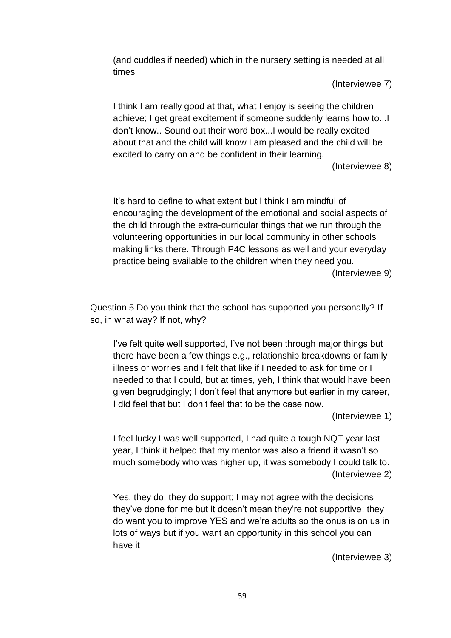(and cuddles if needed) which in the nursery setting is needed at all times

(Interviewee 7)

I think I am really good at that, what I enjoy is seeing the children achieve; I get great excitement if someone suddenly learns how to...I don't know.. Sound out their word box...I would be really excited about that and the child will know I am pleased and the child will be excited to carry on and be confident in their learning.

(Interviewee 8)

It's hard to define to what extent but I think I am mindful of encouraging the development of the emotional and social aspects of the child through the extra-curricular things that we run through the volunteering opportunities in our local community in other schools making links there. Through P4C lessons as well and your everyday practice being available to the children when they need you. (Interviewee 9)

Question 5 Do you think that the school has supported you personally? If so, in what way? If not, why?

I've felt quite well supported, I've not been through major things but there have been a few things e.g., relationship breakdowns or family illness or worries and I felt that like if I needed to ask for time or I needed to that I could, but at times, yeh, I think that would have been given begrudgingly; I don't feel that anymore but earlier in my career, I did feel that but I don't feel that to be the case now.

(Interviewee 1)

I feel lucky I was well supported, I had quite a tough NQT year last year, I think it helped that my mentor was also a friend it wasn't so much somebody who was higher up, it was somebody I could talk to. (Interviewee 2)

Yes, they do, they do support; I may not agree with the decisions they've done for me but it doesn't mean they're not supportive; they do want you to improve YES and we're adults so the onus is on us in lots of ways but if you want an opportunity in this school you can have it

(Interviewee 3)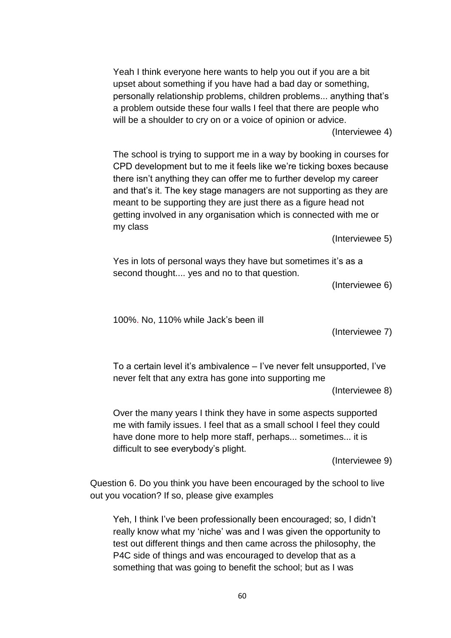Yeah I think everyone here wants to help you out if you are a bit upset about something if you have had a bad day or something, personally relationship problems, children problems... anything that's a problem outside these four walls I feel that there are people who will be a shoulder to cry on or a voice of opinion or advice.

(Interviewee 4)

The school is trying to support me in a way by booking in courses for CPD development but to me it feels like we're ticking boxes because there isn't anything they can offer me to further develop my career and that's it. The key stage managers are not supporting as they are meant to be supporting they are just there as a figure head not getting involved in any organisation which is connected with me or my class

(Interviewee 5)

Yes in lots of personal ways they have but sometimes it's as a second thought.... yes and no to that question.

(Interviewee 6)

100%. No, 110% while Jack's been ill

(Interviewee 7)

To a certain level it's ambivalence – I've never felt unsupported, I've never felt that any extra has gone into supporting me

(Interviewee 8)

Over the many years I think they have in some aspects supported me with family issues. I feel that as a small school I feel they could have done more to help more staff, perhaps... sometimes... it is difficult to see everybody's plight.

(Interviewee 9)

Question 6. Do you think you have been encouraged by the school to live out you vocation? If so, please give examples

Yeh, I think I've been professionally been encouraged; so, I didn't really know what my 'niche' was and I was given the opportunity to test out different things and then came across the philosophy, the P4C side of things and was encouraged to develop that as a something that was going to benefit the school; but as I was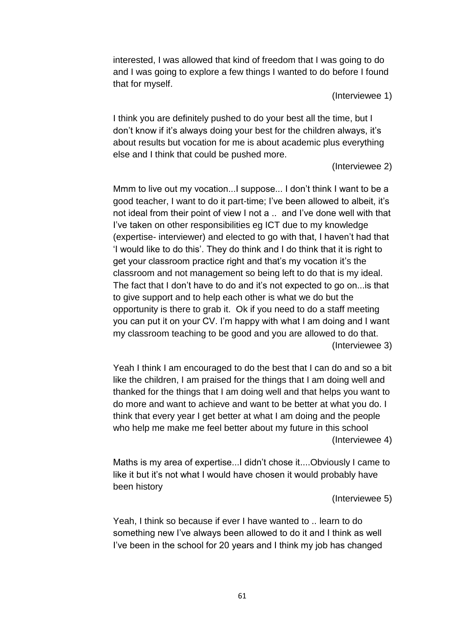interested, I was allowed that kind of freedom that I was going to do and I was going to explore a few things I wanted to do before I found that for myself.

(Interviewee 1)

I think you are definitely pushed to do your best all the time, but I don't know if it's always doing your best for the children always, it's about results but vocation for me is about academic plus everything else and I think that could be pushed more.

(Interviewee 2)

Mmm to live out my vocation...I suppose... I don't think I want to be a good teacher, I want to do it part-time; I've been allowed to albeit, it's not ideal from their point of view I not a .. and I've done well with that I've taken on other responsibilities eg ICT due to my knowledge (expertise- interviewer) and elected to go with that, I haven't had that 'I would like to do this'. They do think and I do think that it is right to get your classroom practice right and that's my vocation it's the classroom and not management so being left to do that is my ideal. The fact that I don't have to do and it's not expected to go on...is that to give support and to help each other is what we do but the opportunity is there to grab it. Ok if you need to do a staff meeting you can put it on your CV. I'm happy with what I am doing and I want my classroom teaching to be good and you are allowed to do that. (Interviewee 3)

Yeah I think I am encouraged to do the best that I can do and so a bit like the children, I am praised for the things that I am doing well and thanked for the things that I am doing well and that helps you want to do more and want to achieve and want to be better at what you do. I think that every year I get better at what I am doing and the people who help me make me feel better about my future in this school (Interviewee 4)

Maths is my area of expertise...I didn't chose it....Obviously I came to like it but it's not what I would have chosen it would probably have been history

(Interviewee 5)

Yeah, I think so because if ever I have wanted to .. learn to do something new I've always been allowed to do it and I think as well I've been in the school for 20 years and I think my job has changed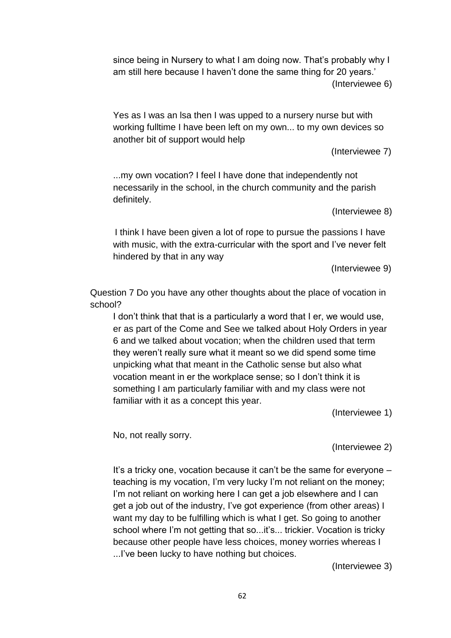since being in Nursery to what I am doing now. That's probably why I am still here because I haven't done the same thing for 20 years.' (Interviewee 6)

Yes as I was an lsa then I was upped to a nursery nurse but with working fulltime I have been left on my own... to my own devices so another bit of support would help

(Interviewee 7)

...my own vocation? I feel I have done that independently not necessarily in the school, in the church community and the parish definitely.

(Interviewee 8)

I think I have been given a lot of rope to pursue the passions I have with music, with the extra-curricular with the sport and I've never felt hindered by that in any way

(Interviewee 9)

Question 7 Do you have any other thoughts about the place of vocation in school?

I don't think that that is a particularly a word that I er, we would use, er as part of the Come and See we talked about Holy Orders in year 6 and we talked about vocation; when the children used that term they weren't really sure what it meant so we did spend some time unpicking what that meant in the Catholic sense but also what vocation meant in er the workplace sense; so I don't think it is something I am particularly familiar with and my class were not familiar with it as a concept this year.

(Interviewee 1)

No, not really sorry.

(Interviewee 2)

It's a tricky one, vocation because it can't be the same for everyone – teaching is my vocation, I'm very lucky I'm not reliant on the money; I'm not reliant on working here I can get a job elsewhere and I can get a job out of the industry, I've got experience (from other areas) I want my day to be fulfilling which is what I get. So going to another school where I'm not getting that so...it's... trickier. Vocation is tricky because other people have less choices, money worries whereas I ...I've been lucky to have nothing but choices.

(Interviewee 3)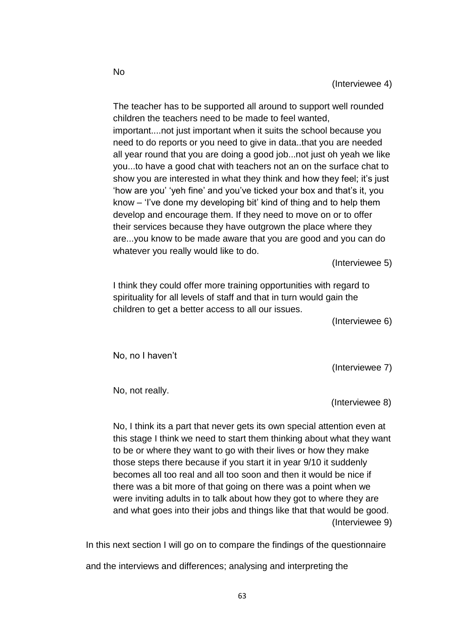The teacher has to be supported all around to support well rounded children the teachers need to be made to feel wanted, important....not just important when it suits the school because you need to do reports or you need to give in data..that you are needed all year round that you are doing a good job...not just oh yeah we like you...to have a good chat with teachers not an on the surface chat to show you are interested in what they think and how they feel; it's just 'how are you' 'yeh fine' and you've ticked your box and that's it, you know – 'I've done my developing bit' kind of thing and to help them develop and encourage them. If they need to move on or to offer their services because they have outgrown the place where they are...you know to be made aware that you are good and you can do whatever you really would like to do.

(Interviewee 5)

I think they could offer more training opportunities with regard to spirituality for all levels of staff and that in turn would gain the children to get a better access to all our issues.

(Interviewee 6)

No, no I haven't

(Interviewee 7)

No, not really.

(Interviewee 8)

No, I think its a part that never gets its own special attention even at this stage I think we need to start them thinking about what they want to be or where they want to go with their lives or how they make those steps there because if you start it in year 9/10 it suddenly becomes all too real and all too soon and then it would be nice if there was a bit more of that going on there was a point when we were inviting adults in to talk about how they got to where they are and what goes into their jobs and things like that that would be good. (Interviewee 9)

In this next section I will go on to compare the findings of the questionnaire

and the interviews and differences; analysing and interpreting the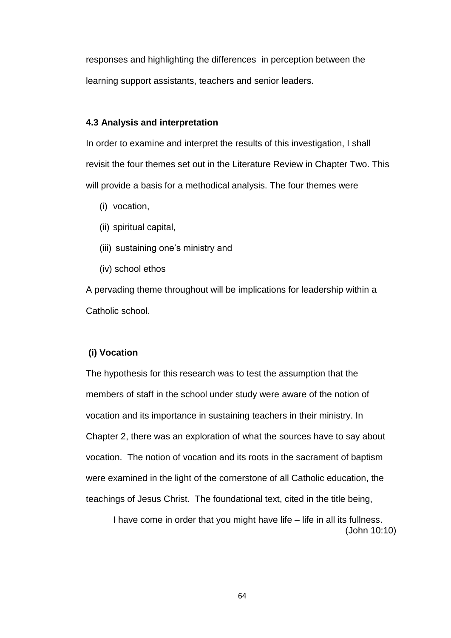responses and highlighting the differences in perception between the learning support assistants, teachers and senior leaders.

### **4.3 Analysis and interpretation**

In order to examine and interpret the results of this investigation, I shall revisit the four themes set out in the Literature Review in Chapter Two. This will provide a basis for a methodical analysis. The four themes were

- (i) vocation,
- (ii) spiritual capital,
- (iii) sustaining one's ministry and
- (iv) school ethos

A pervading theme throughout will be implications for leadership within a Catholic school.

### **(i) Vocation**

The hypothesis for this research was to test the assumption that the members of staff in the school under study were aware of the notion of vocation and its importance in sustaining teachers in their ministry. In Chapter 2, there was an exploration of what the sources have to say about vocation. The notion of vocation and its roots in the sacrament of baptism were examined in the light of the cornerstone of all Catholic education, the teachings of Jesus Christ. The foundational text, cited in the title being,

I have come in order that you might have life – life in all its fullness. (John 10:10)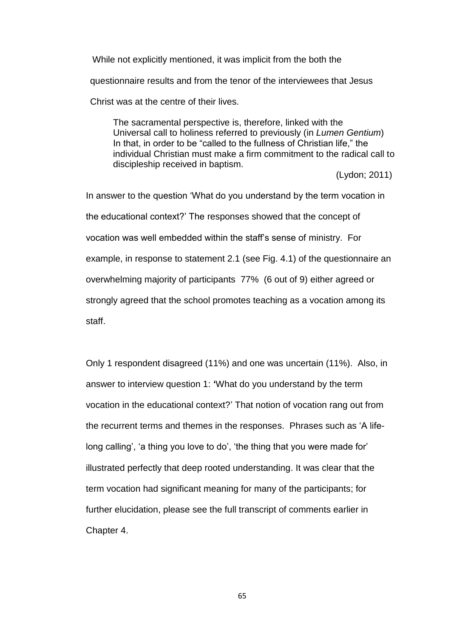While not explicitly mentioned, it was implicit from the both the questionnaire results and from the tenor of the interviewees that Jesus Christ was at the centre of their lives.

The sacramental perspective is, therefore, linked with the Universal call to holiness referred to previously (in *Lumen Gentium*) In that, in order to be "called to the fullness of Christian life," the individual Christian must make a firm commitment to the radical call to discipleship received in baptism.

(Lydon; 2011)

In answer to the question 'What do you understand by the term vocation in the educational context?' The responses showed that the concept of vocation was well embedded within the staff's sense of ministry. For example, in response to statement 2.1 (see Fig. 4.1) of the questionnaire an overwhelming majority of participants 77% (6 out of 9) either agreed or strongly agreed that the school promotes teaching as a vocation among its staff.

Only 1 respondent disagreed (11%) and one was uncertain (11%). Also, in answer to interview question 1: **'**What do you understand by the term vocation in the educational context?' That notion of vocation rang out from the recurrent terms and themes in the responses. Phrases such as 'A lifelong calling', 'a thing you love to do', 'the thing that you were made for' illustrated perfectly that deep rooted understanding. It was clear that the term vocation had significant meaning for many of the participants; for further elucidation, please see the full transcript of comments earlier in Chapter 4.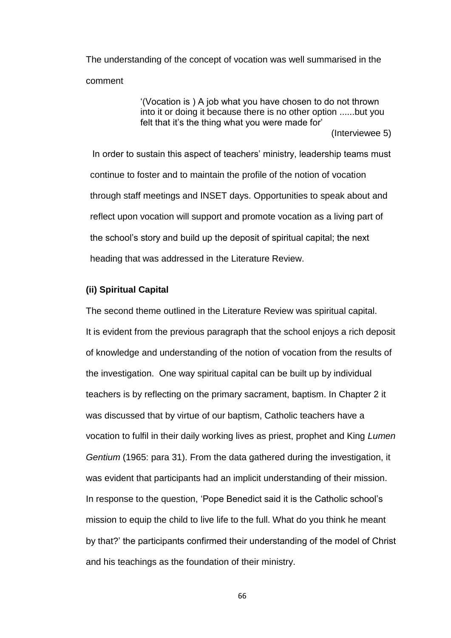The understanding of the concept of vocation was well summarised in the comment

> '(Vocation is ) A job what you have chosen to do not thrown into it or doing it because there is no other option ......but you felt that it's the thing what you were made for'

(Interviewee 5)

In order to sustain this aspect of teachers' ministry, leadership teams must continue to foster and to maintain the profile of the notion of vocation through staff meetings and INSET days. Opportunities to speak about and reflect upon vocation will support and promote vocation as a living part of the school's story and build up the deposit of spiritual capital; the next heading that was addressed in the Literature Review.

### **(ii) Spiritual Capital**

The second theme outlined in the Literature Review was spiritual capital. It is evident from the previous paragraph that the school enjoys a rich deposit of knowledge and understanding of the notion of vocation from the results of the investigation. One way spiritual capital can be built up by individual teachers is by reflecting on the primary sacrament, baptism. In Chapter 2 it was discussed that by virtue of our baptism, Catholic teachers have a vocation to fulfil in their daily working lives as priest, prophet and King *Lumen Gentium* (1965: para 31). From the data gathered during the investigation, it was evident that participants had an implicit understanding of their mission. In response to the question, 'Pope Benedict said it is the Catholic school's mission to equip the child to live life to the full. What do you think he meant by that?' the participants confirmed their understanding of the model of Christ and his teachings as the foundation of their ministry.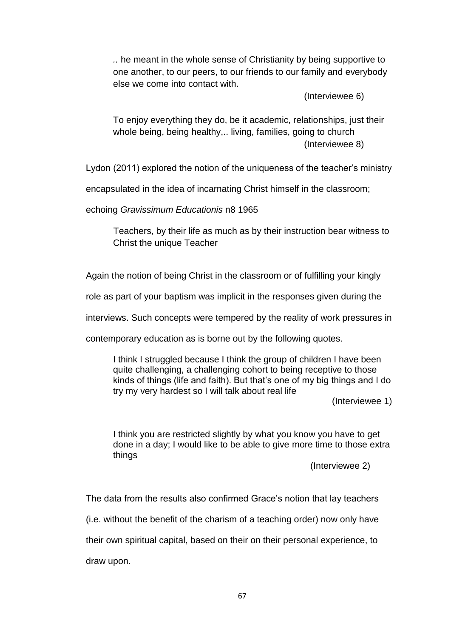*..* he meant in the whole sense of Christianity by being supportive to one another, to our peers, to our friends to our family and everybody else we come into contact with.

(Interviewee 6)

To enjoy everything they do, be it academic, relationships, just their whole being, being healthy,.. living, families, going to church (Interviewee 8)

Lydon (2011) explored the notion of the uniqueness of the teacher's ministry

encapsulated in the idea of incarnating Christ himself in the classroom;

echoing *Gravissimum Educationis* n8 1965

Teachers, by their life as much as by their instruction bear witness to Christ the unique Teacher

Again the notion of being Christ in the classroom or of fulfilling your kingly

role as part of your baptism was implicit in the responses given during the

interviews. Such concepts were tempered by the reality of work pressures in

contemporary education as is borne out by the following quotes.

I think I struggled because I think the group of children I have been quite challenging, a challenging cohort to being receptive to those kinds of things (life and faith). But that's one of my big things and I do try my very hardest so I will talk about real life

(Interviewee 1)

I think you are restricted slightly by what you know you have to get done in a day; I would like to be able to give more time to those extra things

(Interviewee 2)

The data from the results also confirmed Grace's notion that lay teachers

(i.e. without the benefit of the charism of a teaching order) now only have

their own spiritual capital, based on their on their personal experience, to

draw upon.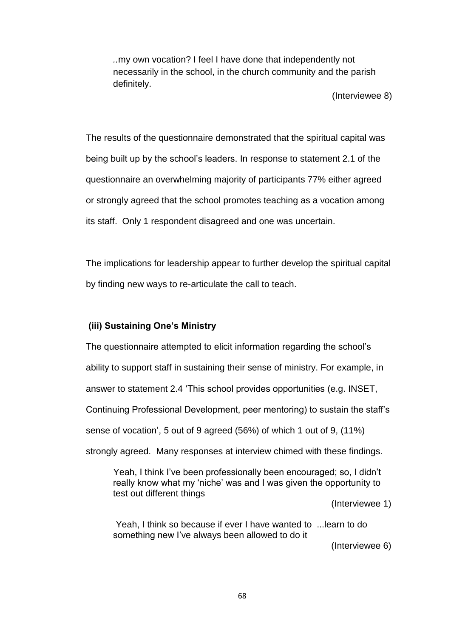*..*my own vocation? I feel I have done that independently not necessarily in the school, in the church community and the parish definitely.

(Interviewee 8)

The results of the questionnaire demonstrated that the spiritual capital was being built up by the school's leaders. In response to statement 2.1 of the questionnaire an overwhelming majority of participants 77% either agreed or strongly agreed that the school promotes teaching as a vocation among its staff. Only 1 respondent disagreed and one was uncertain.

The implications for leadership appear to further develop the spiritual capital by finding new ways to re-articulate the call to teach.

### **(iii) Sustaining One's Ministry**

The questionnaire attempted to elicit information regarding the school's ability to support staff in sustaining their sense of ministry. For example, in answer to statement 2.4 'This school provides opportunities (e.g. INSET, Continuing Professional Development, peer mentoring) to sustain the staff's sense of vocation', 5 out of 9 agreed (56%) of which 1 out of 9, (11%) strongly agreed. Many responses at interview chimed with these findings.

Yeah, I think I've been professionally been encouraged; so, I didn't really know what my 'niche' was and I was given the opportunity to test out different things

(Interviewee 1)

Yeah, I think so because if ever I have wanted to ...learn to do something new I've always been allowed to do it

(Interviewee 6)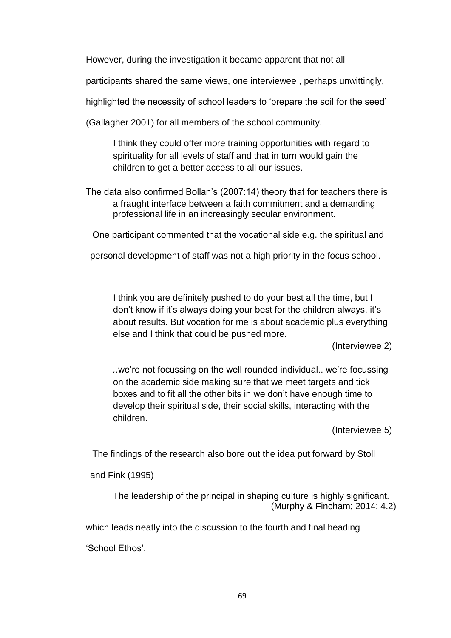However, during the investigation it became apparent that not all

participants shared the same views, one interviewee , perhaps unwittingly,

highlighted the necessity of school leaders to 'prepare the soil for the seed'

(Gallagher 2001) for all members of the school community.

I think they could offer more training opportunities with regard to spirituality for all levels of staff and that in turn would gain the children to get a better access to all our issues.

The data also confirmed Bollan's (2007:14) theory that for teachers there is a fraught interface between a faith commitment and a demanding professional life in an increasingly secular environment.

One participant commented that the vocational side e.g. the spiritual and

personal development of staff was not a high priority in the focus school.

I think you are definitely pushed to do your best all the time, but I don't know if it's always doing your best for the children always, it's about results. But vocation for me is about academic plus everything else and I think that could be pushed more.

(Interviewee 2)

*..*we're not focussing on the well rounded individual.. we're focussing on the academic side making sure that we meet targets and tick boxes and to fit all the other bits in we don't have enough time to develop their spiritual side, their social skills, interacting with the children.

(Interviewee 5)

The findings of the research also bore out the idea put forward by Stoll

and Fink (1995)

The leadership of the principal in shaping culture is highly significant. (Murphy & Fincham; 2014: 4.2)

which leads neatly into the discussion to the fourth and final heading

'School Ethos'.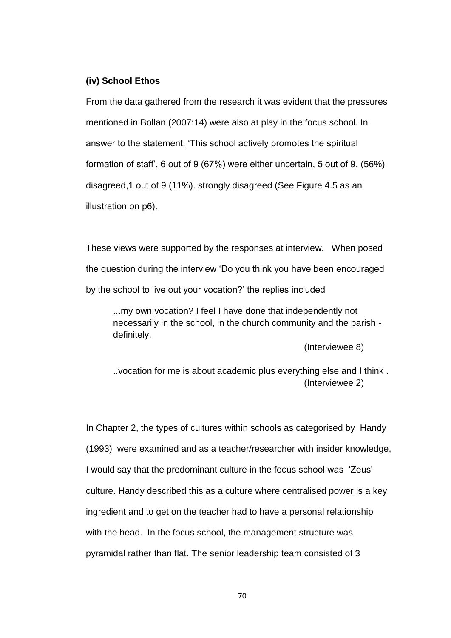### **(iv) School Ethos**

From the data gathered from the research it was evident that the pressures mentioned in Bollan (2007:14) were also at play in the focus school. In answer to the statement, 'This school actively promotes the spiritual formation of staff', 6 out of 9 (67%) were either uncertain, 5 out of 9, (56%) disagreed,1 out of 9 (11%). strongly disagreed (See Figure 4.5 as an illustration on p6).

These views were supported by the responses at interview. When posed the question during the interview 'Do you think you have been encouraged by the school to live out your vocation?' the replies included

...my own vocation? I feel I have done that independently not necessarily in the school, in the church community and the parish definitely.

(Interviewee 8)

..vocation for me is about academic plus everything else and I think . (Interviewee 2)

In Chapter 2, the types of cultures within schools as categorised by Handy (1993) were examined and as a teacher/researcher with insider knowledge, I would say that the predominant culture in the focus school was 'Zeus' culture. Handy described this as a culture where centralised power is a key ingredient and to get on the teacher had to have a personal relationship with the head. In the focus school, the management structure was pyramidal rather than flat. The senior leadership team consisted of 3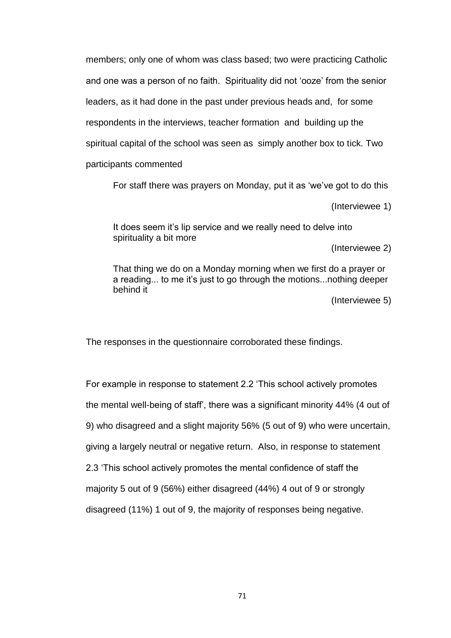members; only one of whom was class based; two were practicing Catholic and one was a person of no faith. Spirituality did not 'ooze' from the senior leaders, as it had done in the past under previous heads and, for some respondents in the interviews, teacher formation and building up the spiritual capital of the school was seen as simply another box to tick. Two participants commented

For staff there was prayers on Monday, put it as 'we've got to do this

(Interviewee 1)

It does seem it's lip service and we really need to delve into spirituality a bit more

(Interviewee 2)

That thing we do on a Monday morning when we first do a prayer or a reading... to me it's just to go through the motions...nothing deeper behind it

(Interviewee 5)

The responses in the questionnaire corroborated these findings.

For example in response to statement 2.2 'This school actively promotes the mental well-being of staff', there was a significant minority 44% (4 out of 9) who disagreed and a slight majority 56% (5 out of 9) who were uncertain, giving a largely neutral or negative return. Also, in response to statement 2.3 'This school actively promotes the mental confidence of staff the majority 5 out of 9 (56%) either disagreed (44%) 4 out of 9 or strongly disagreed (11%) 1 out of 9, the majority of responses being negative.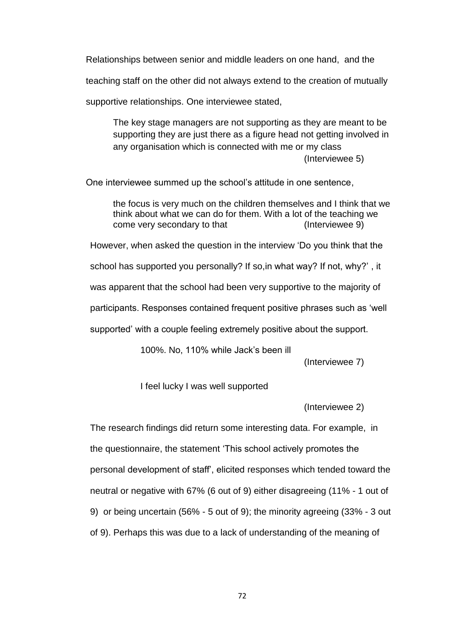Relationships between senior and middle leaders on one hand, and the

teaching staff on the other did not always extend to the creation of mutually

supportive relationships. One interviewee stated,

The key stage managers are not supporting as they are meant to be supporting they are just there as a figure head not getting involved in any organisation which is connected with me or my class (Interviewee 5)

One interviewee summed up the school's attitude in one sentence,

the focus is very much on the children themselves and I think that we think about what we can do for them. With a lot of the teaching we come very secondary to that (Interviewee 9)

However, when asked the question in the interview 'Do you think that the

school has supported you personally? If so,in what way? If not, why?' , it

was apparent that the school had been very supportive to the majority of

participants. Responses contained frequent positive phrases such as 'well

supported' with a couple feeling extremely positive about the support.

100%. No, 110% while Jack's been ill

(Interviewee 7)

I feel lucky I was well supported

(Interviewee 2)

The research findings did return some interesting data. For example, in the questionnaire, the statement 'This school actively promotes the personal development of staff', elicited responses which tended toward the neutral or negative with 67% (6 out of 9) either disagreeing (11% - 1 out of 9) or being uncertain (56% - 5 out of 9); the minority agreeing (33% - 3 out of 9). Perhaps this was due to a lack of understanding of the meaning of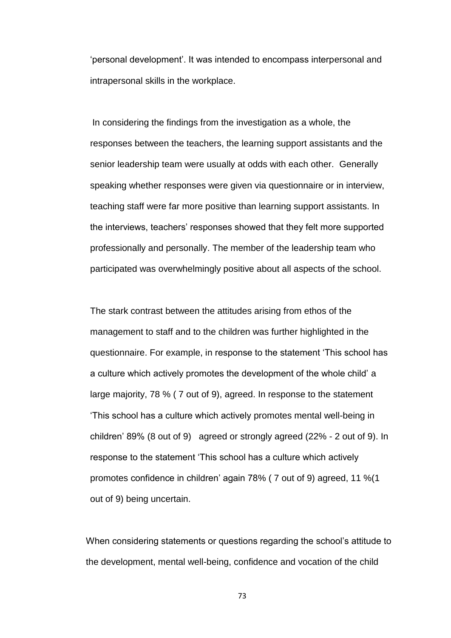'personal development'. It was intended to encompass interpersonal and intrapersonal skills in the workplace.

In considering the findings from the investigation as a whole, the responses between the teachers, the learning support assistants and the senior leadership team were usually at odds with each other. Generally speaking whether responses were given via questionnaire or in interview, teaching staff were far more positive than learning support assistants. In the interviews, teachers' responses showed that they felt more supported professionally and personally. The member of the leadership team who participated was overwhelmingly positive about all aspects of the school.

The stark contrast between the attitudes arising from ethos of the management to staff and to the children was further highlighted in the questionnaire. For example, in response to the statement 'This school has a culture which actively promotes the development of the whole child' a large majority, 78 % ( 7 out of 9), agreed. In response to the statement 'This school has a culture which actively promotes mental well-being in children' 89% (8 out of 9) agreed or strongly agreed (22% - 2 out of 9). In response to the statement 'This school has a culture which actively promotes confidence in children' again 78% ( 7 out of 9) agreed, 11 %(1 out of 9) being uncertain.

When considering statements or questions regarding the school's attitude to the development, mental well-being, confidence and vocation of the child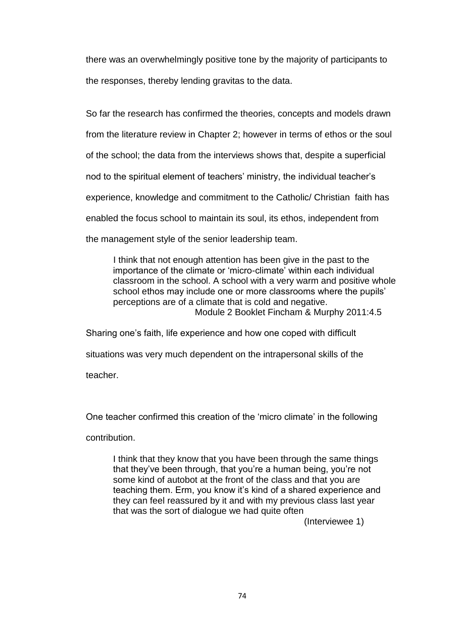there was an overwhelmingly positive tone by the majority of participants to the responses, thereby lending gravitas to the data.

So far the research has confirmed the theories, concepts and models drawn from the literature review in Chapter 2; however in terms of ethos or the soul of the school; the data from the interviews shows that, despite a superficial nod to the spiritual element of teachers' ministry, the individual teacher's experience, knowledge and commitment to the Catholic/ Christian faith has enabled the focus school to maintain its soul, its ethos, independent from the management style of the senior leadership team.

I think that not enough attention has been give in the past to the importance of the climate or 'micro-climate' within each individual classroom in the school. A school with a very warm and positive whole school ethos may include one or more classrooms where the pupils' perceptions are of a climate that is cold and negative. Module 2 Booklet Fincham & Murphy 2011:4.5

Sharing one's faith, life experience and how one coped with difficult

situations was very much dependent on the intrapersonal skills of the

teacher.

One teacher confirmed this creation of the 'micro climate' in the following

contribution.

I think that they know that you have been through the same things that they've been through, that you're a human being, you're not some kind of autobot at the front of the class and that you are teaching them. Erm, you know it's kind of a shared experience and they can feel reassured by it and with my previous class last year that was the sort of dialogue we had quite often

(Interviewee 1)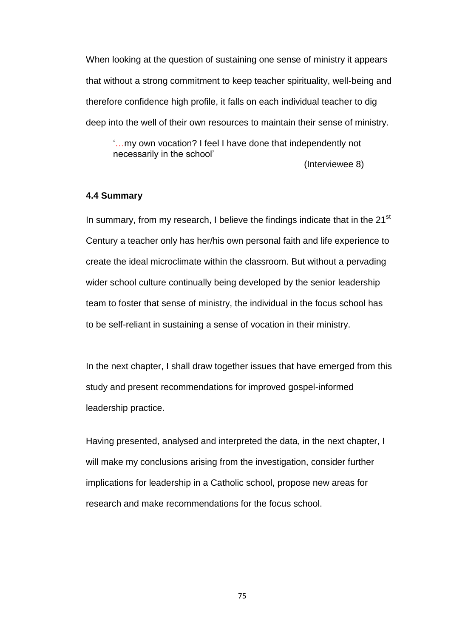When looking at the question of sustaining one sense of ministry it appears that without a strong commitment to keep teacher spirituality, well-being and therefore confidence high profile, it falls on each individual teacher to dig deep into the well of their own resources to maintain their sense of ministry.

'…my own vocation? I feel I have done that independently not necessarily in the school'

(Interviewee 8)

### **4.4 Summary**

In summary, from my research, I believe the findings indicate that in the  $21<sup>st</sup>$ Century a teacher only has her/his own personal faith and life experience to create the ideal microclimate within the classroom. But without a pervading wider school culture continually being developed by the senior leadership team to foster that sense of ministry, the individual in the focus school has to be self-reliant in sustaining a sense of vocation in their ministry.

In the next chapter, I shall draw together issues that have emerged from this study and present recommendations for improved gospel-informed leadership practice.

Having presented, analysed and interpreted the data, in the next chapter, I will make my conclusions arising from the investigation, consider further implications for leadership in a Catholic school, propose new areas for research and make recommendations for the focus school.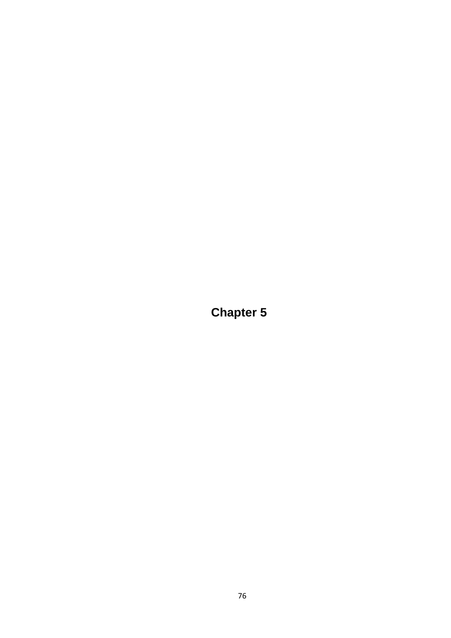**Chapter 5**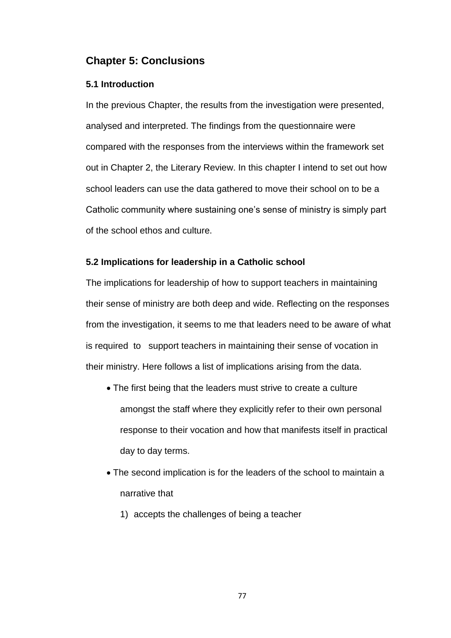## **Chapter 5: Conclusions**

### **5.1 Introduction**

In the previous Chapter, the results from the investigation were presented, analysed and interpreted. The findings from the questionnaire were compared with the responses from the interviews within the framework set out in Chapter 2, the Literary Review. In this chapter I intend to set out how school leaders can use the data gathered to move their school on to be a Catholic community where sustaining one's sense of ministry is simply part of the school ethos and culture.

### **5.2 Implications for leadership in a Catholic school**

The implications for leadership of how to support teachers in maintaining their sense of ministry are both deep and wide. Reflecting on the responses from the investigation, it seems to me that leaders need to be aware of what is required to support teachers in maintaining their sense of vocation in their ministry. Here follows a list of implications arising from the data.

- The first being that the leaders must strive to create a culture amongst the staff where they explicitly refer to their own personal response to their vocation and how that manifests itself in practical day to day terms.
- The second implication is for the leaders of the school to maintain a narrative that
	- 1) accepts the challenges of being a teacher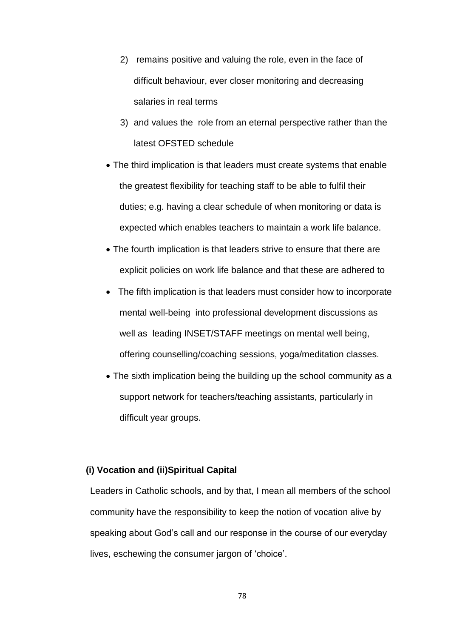- 2) remains positive and valuing the role, even in the face of difficult behaviour, ever closer monitoring and decreasing salaries in real terms
- 3) and values the role from an eternal perspective rather than the latest OFSTED schedule
- The third implication is that leaders must create systems that enable the greatest flexibility for teaching staff to be able to fulfil their duties; e.g. having a clear schedule of when monitoring or data is expected which enables teachers to maintain a work life balance.
- The fourth implication is that leaders strive to ensure that there are explicit policies on work life balance and that these are adhered to
- The fifth implication is that leaders must consider how to incorporate mental well-being into professional development discussions as well as leading INSET/STAFF meetings on mental well being, offering counselling/coaching sessions, yoga/meditation classes.
- The sixth implication being the building up the school community as a support network for teachers/teaching assistants, particularly in difficult year groups.

### **(i) Vocation and (ii)Spiritual Capital**

Leaders in Catholic schools, and by that, I mean all members of the school community have the responsibility to keep the notion of vocation alive by speaking about God's call and our response in the course of our everyday lives, eschewing the consumer jargon of 'choice'.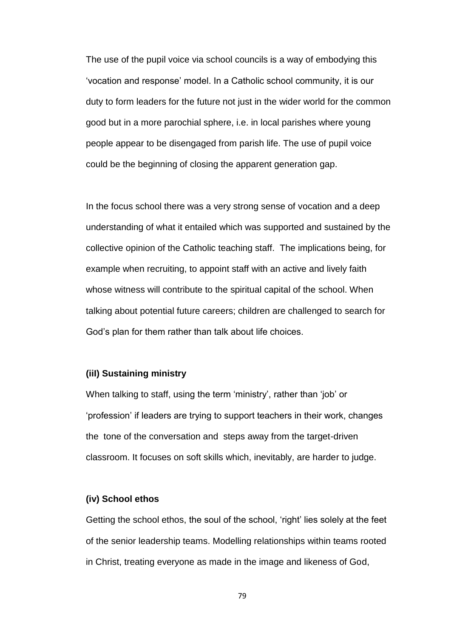The use of the pupil voice via school councils is a way of embodying this 'vocation and response' model. In a Catholic school community, it is our duty to form leaders for the future not just in the wider world for the common good but in a more parochial sphere, i.e. in local parishes where young people appear to be disengaged from parish life. The use of pupil voice could be the beginning of closing the apparent generation gap.

In the focus school there was a very strong sense of vocation and a deep understanding of what it entailed which was supported and sustained by the collective opinion of the Catholic teaching staff. The implications being, for example when recruiting, to appoint staff with an active and lively faith whose witness will contribute to the spiritual capital of the school. When talking about potential future careers; children are challenged to search for God's plan for them rather than talk about life choices.

### **(iiI) Sustaining ministry**

When talking to staff, using the term 'ministry', rather than 'job' or 'profession' if leaders are trying to support teachers in their work, changes the tone of the conversation and steps away from the target-driven classroom. It focuses on soft skills which, inevitably, are harder to judge.

#### **(iv) School ethos**

Getting the school ethos, the soul of the school, 'right' lies solely at the feet of the senior leadership teams. Modelling relationships within teams rooted in Christ, treating everyone as made in the image and likeness of God,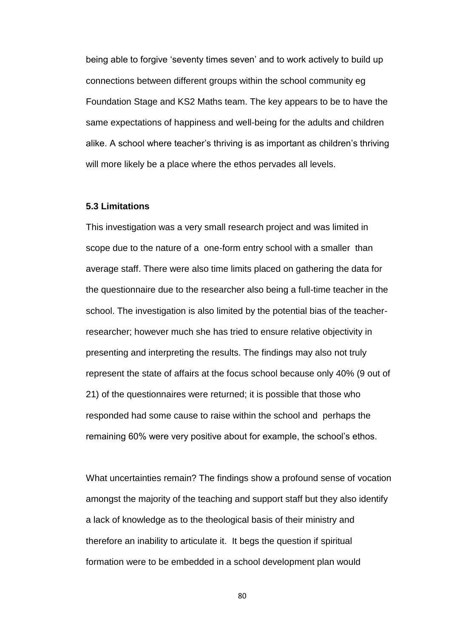being able to forgive 'seventy times seven' and to work actively to build up connections between different groups within the school community eg Foundation Stage and KS2 Maths team. The key appears to be to have the same expectations of happiness and well-being for the adults and children alike. A school where teacher's thriving is as important as children's thriving will more likely be a place where the ethos pervades all levels.

### **5.3 Limitations**

This investigation was a very small research project and was limited in scope due to the nature of a one-form entry school with a smaller than average staff. There were also time limits placed on gathering the data for the questionnaire due to the researcher also being a full-time teacher in the school. The investigation is also limited by the potential bias of the teacherresearcher; however much she has tried to ensure relative objectivity in presenting and interpreting the results. The findings may also not truly represent the state of affairs at the focus school because only 40% (9 out of 21) of the questionnaires were returned; it is possible that those who responded had some cause to raise within the school and perhaps the remaining 60% were very positive about for example, the school's ethos.

What uncertainties remain? The findings show a profound sense of vocation amongst the majority of the teaching and support staff but they also identify a lack of knowledge as to the theological basis of their ministry and therefore an inability to articulate it. It begs the question if spiritual formation were to be embedded in a school development plan would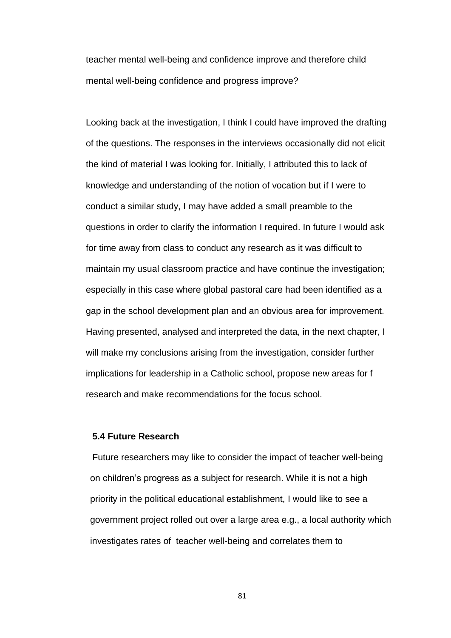teacher mental well-being and confidence improve and therefore child mental well-being confidence and progress improve?

Looking back at the investigation, I think I could have improved the drafting of the questions. The responses in the interviews occasionally did not elicit the kind of material I was looking for. Initially, I attributed this to lack of knowledge and understanding of the notion of vocation but if I were to conduct a similar study, I may have added a small preamble to the questions in order to clarify the information I required. In future I would ask for time away from class to conduct any research as it was difficult to maintain my usual classroom practice and have continue the investigation; especially in this case where global pastoral care had been identified as a gap in the school development plan and an obvious area for improvement. Having presented, analysed and interpreted the data, in the next chapter, I will make my conclusions arising from the investigation, consider further implications for leadership in a Catholic school, propose new areas for f research and make recommendations for the focus school.

### **5.4 Future Research**

Future researchers may like to consider the impact of teacher well-being on children's progress as a subject for research. While it is not a high priority in the political educational establishment, I would like to see a government project rolled out over a large area e.g., a local authority which investigates rates of teacher well-being and correlates them to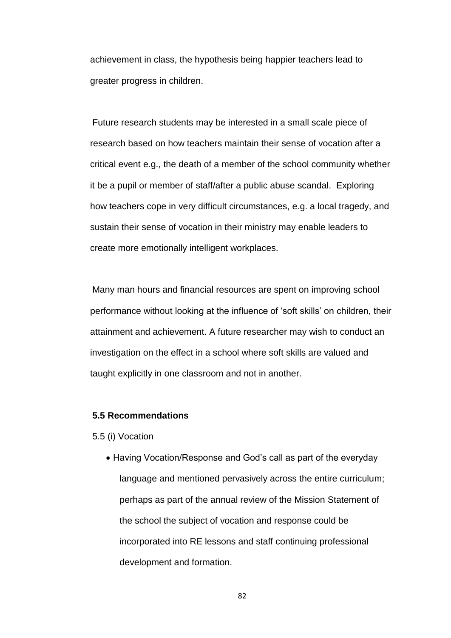achievement in class, the hypothesis being happier teachers lead to greater progress in children.

Future research students may be interested in a small scale piece of research based on how teachers maintain their sense of vocation after a critical event e.g., the death of a member of the school community whether it be a pupil or member of staff/after a public abuse scandal. Exploring how teachers cope in very difficult circumstances, e.g. a local tragedy, and sustain their sense of vocation in their ministry may enable leaders to create more emotionally intelligent workplaces.

Many man hours and financial resources are spent on improving school performance without looking at the influence of 'soft skills' on children, their attainment and achievement. A future researcher may wish to conduct an investigation on the effect in a school where soft skills are valued and taught explicitly in one classroom and not in another.

### **5.5 Recommendations**

5.5 (i) Vocation

• Having Vocation/Response and God's call as part of the everyday language and mentioned pervasively across the entire curriculum; perhaps as part of the annual review of the Mission Statement of the school the subject of vocation and response could be incorporated into RE lessons and staff continuing professional development and formation.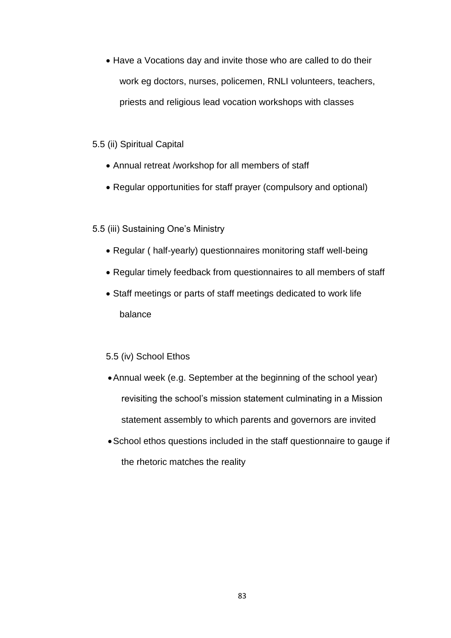• Have a Vocations day and invite those who are called to do their work eg doctors, nurses, policemen, RNLI volunteers, teachers, priests and religious lead vocation workshops with classes

### 5.5 (ii) Spiritual Capital

- Annual retreat /workshop for all members of staff
- Regular opportunities for staff prayer (compulsory and optional)

### 5.5 (iii) Sustaining One's Ministry

- Regular ( half-yearly) questionnaires monitoring staff well-being
- Regular timely feedback from questionnaires to all members of staff
- Staff meetings or parts of staff meetings dedicated to work life balance

### 5.5 (iv) School Ethos

- Annual week (e.g. September at the beginning of the school year) revisiting the school's mission statement culminating in a Mission statement assembly to which parents and governors are invited
- School ethos questions included in the staff questionnaire to gauge if the rhetoric matches the reality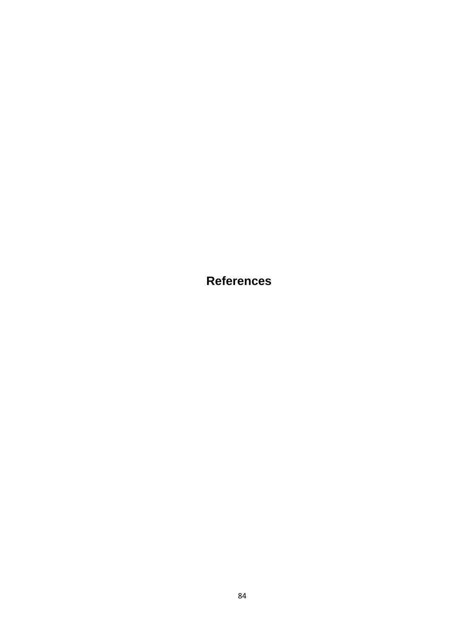**References**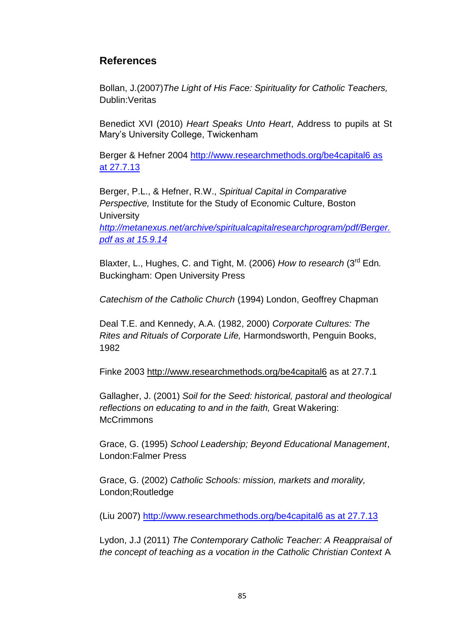## **References**

Bollan, J.(2007)*The Light of His Face: Spirituality for Catholic Teachers,*  Dublin:Veritas

Benedict XVI (2010) *Heart Speaks Unto Heart*, Address to pupils at St Mary's University College, Twickenham

Berger & Hefner 2004 [http://www.researchmethods.org/be4capital6](http://www.researchmethods.org/be4capital6%20as%20at%2027.7.13) as [at 27.7.13](http://www.researchmethods.org/be4capital6%20as%20at%2027.7.13)

Berger, P.L., & Hefner, R.W., *Spiritual Capital in Comparative Perspective,* Institute for the Study of Economic Culture, Boston **University** 

*[http://metanexus.net/archive/spiritualcapitalresearchprogram/pdf/Berger.](http://metanexus.net/archive/spiritualcapitalresearchprogram/pdf/Berger.pdf%20as%20at%2015.9.14) pdf [as at 15.9.14](http://metanexus.net/archive/spiritualcapitalresearchprogram/pdf/Berger.pdf%20as%20at%2015.9.14)*

Blaxter, L., Hughes, C. and Tight, M. (2006) *How to research* (3rd Edn*.*  Buckingham: Open University Press

*Catechism of the Catholic Church* (1994) London, Geoffrey Chapman

Deal T.E. and Kennedy, A.A. (1982, 2000) *Corporate Cultures: The Rites and Rituals of Corporate Life,* Harmondsworth, Penguin Books, 1982

Finke 2003 <http://www.researchmethods.org/be4capital6> as at 27.7.1

Gallagher, J. (2001) *Soil for the Seed: historical, pastoral and theological reflections on educating to and in the faith,* Great Wakering: **McCrimmons** 

Grace, G. (1995) *School Leadership; Beyond Educational Management*, London:Falmer Press

Grace, G. (2002) *Catholic Schools: mission, markets and morality,*  London;Routledge

(Liu 2007) [http://www.researchmethods.org/be4capital6](http://www.researchmethods.org/be4capital6%20as%20at%2027.7.13) as at 27.7.13

Lydon, J.J (2011) *The Contemporary Catholic Teacher: A Reappraisal of the concept of teaching as a vocation in the Catholic Christian Context* A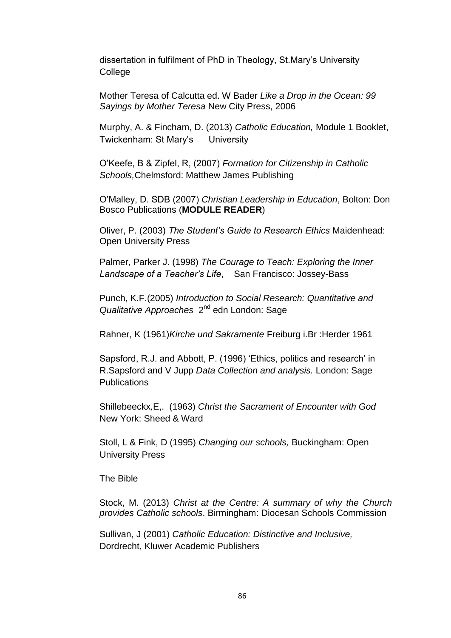dissertation in fulfilment of PhD in Theology, St.Mary's University College

Mother Teresa of Calcutta ed. W Bader *Like a Drop in the Ocean: 99 Sayings by Mother Teresa* New City Press, 2006

Murphy, A. & Fincham, D. (2013) *Catholic Education,* Module 1 Booklet, Twickenham: St Mary's University

O'Keefe, B & Zipfel, R, (2007) *Formation for Citizenship in Catholic Schools,*Chelmsford: Matthew James Publishing

O'Malley, D. SDB (2007) *Christian Leadership in Education*, Bolton: Don Bosco Publications (**MODULE READER**)

Oliver, P. (2003) *The Student's Guide to Research Ethics* Maidenhead: Open University Press

Palmer, Parker J. (1998) *The Courage to Teach: Exploring the Inner Landscape of a Teacher's Life*,San Francisco: Jossey-Bass

Punch, K.F.(2005) *Introduction to Social Research: Quantitative and*  Qualitative Approaches 2<sup>nd</sup> edn London: Sage

Rahner, K (1961)*Kirche und Sakramente* Freiburg i.Br :Herder 1961

Sapsford, R.J. and Abbott, P. (1996) 'Ethics, politics and research' in R.Sapsford and V Jupp *Data Collection and analysis.* London: Sage **Publications** 

Shillebeeckx*,*E,. (1963) *Christ the Sacrament of Encounter with God* New York: Sheed & Ward

Stoll, L & Fink, D (1995) *Changing our schools,* Buckingham: Open University Press

The Bible

Stock, M. (2013) *Christ at the Centre: A summary of why the Church provides Catholic schools*. Birmingham: Diocesan Schools Commission

Sullivan, J (2001) *Catholic Education: Distinctive and Inclusive,*  Dordrecht, Kluwer Academic Publishers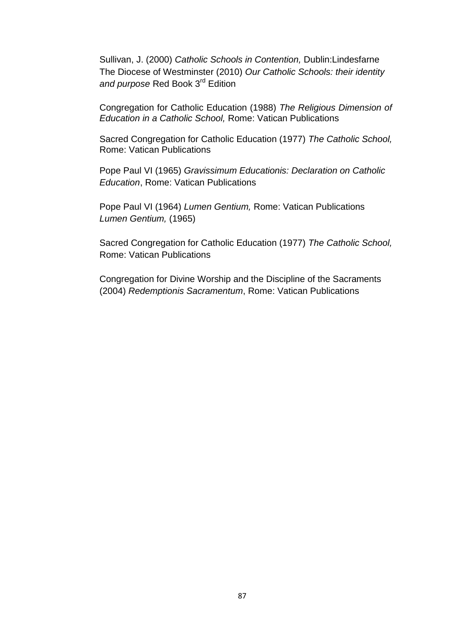Sullivan, J. (2000) *Catholic Schools in Contention,* Dublin:Lindesfarne The Diocese of Westminster (2010) *Our Catholic Schools: their identity and purpose* Red Book 3rd Edition

Congregation for Catholic Education (1988) *The Religious Dimension of Education in a Catholic School,* Rome: Vatican Publications

Sacred Congregation for Catholic Education (1977) *The Catholic School,* Rome: Vatican Publications

Pope Paul VI (1965) *Gravissimum Educationis: Declaration on Catholic Education*, Rome: Vatican Publications

Pope Paul VI (1964) *Lumen Gentium,* Rome: Vatican Publications *Lumen Gentium,* (1965)

Sacred Congregation for Catholic Education (1977) *The Catholic School,* Rome: Vatican Publications

Congregation for Divine Worship and the Discipline of the Sacraments (2004) *Redemptionis Sacramentum*, Rome: Vatican Publications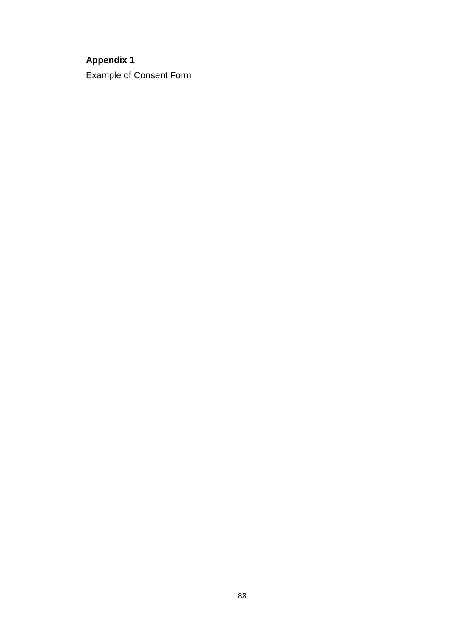# **Appendix 1**

Example of Consent Form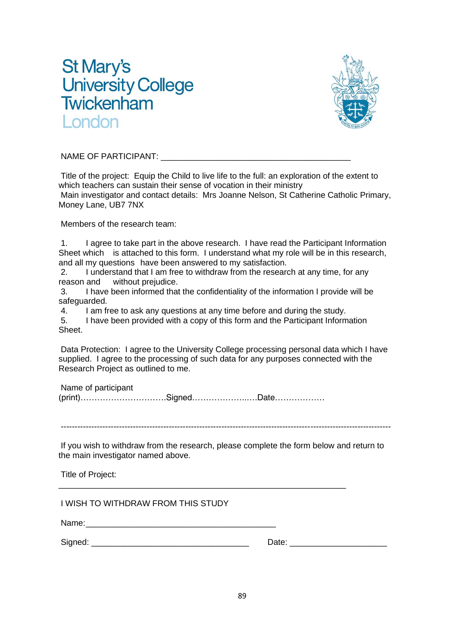# **St Mary's University College** Twickenham ondon



NAME OF PARTICIPANT:

Title of the project: Equip the Child to live life to the full: an exploration of the extent to which teachers can sustain their sense of vocation in their ministry Main investigator and contact details: Mrs Joanne Nelson, St Catherine Catholic Primary, Money Lane, UB7 7NX

Members of the research team:

1. I agree to take part in the above research. I have read the Participant Information Sheet which is attached to this form. I understand what my role will be in this research, and all my questions have been answered to my satisfaction.

2. I understand that I am free to withdraw from the research at any time, for any reason and without prejudice.

3. I have been informed that the confidentiality of the information I provide will be safeguarded.

4. I am free to ask any questions at any time before and during the study.

5. I have been provided with a copy of this form and the Participant Information Sheet.

Data Protection: I agree to the University College processing personal data which I have supplied. I agree to the processing of such data for any purposes connected with the Research Project as outlined to me.

Name of participant (print)………………………….Signed………………..….Date………………

\_\_\_\_\_\_\_\_\_\_\_\_\_\_\_\_\_\_\_\_\_\_\_\_\_\_\_\_\_\_\_\_\_\_\_\_\_\_\_\_\_\_\_\_\_\_\_\_\_\_\_\_\_\_\_\_\_\_\_\_\_\_

-----------------------------------------------------------------------------------------------------------------------

If you wish to withdraw from the research, please complete the form below and return to the main investigator named above.

Title of Project:

I WISH TO WITHDRAW FROM THIS STUDY

Name:

Signed: \_\_\_\_\_\_\_\_\_\_\_\_\_\_\_\_\_\_\_\_\_\_\_\_\_\_\_\_\_\_\_\_\_\_ Date: \_\_\_\_\_\_\_\_\_\_\_\_\_\_\_\_\_\_\_\_\_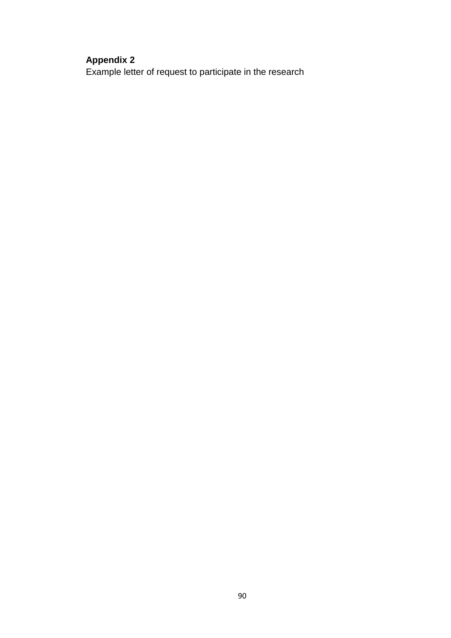# **Appendix 2**

Example letter of request to participate in the research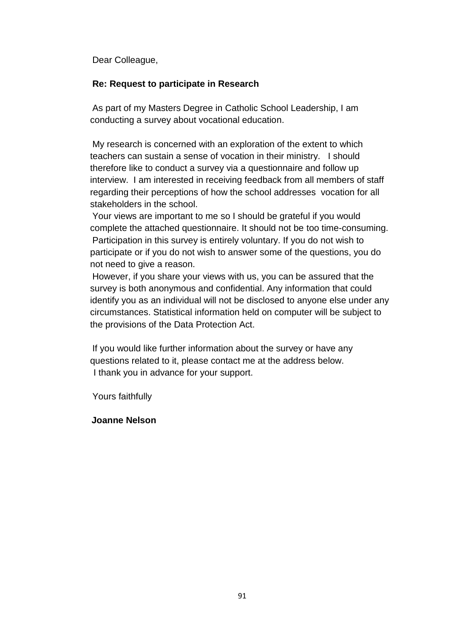Dear Colleague,

### **Re: Request to participate in Research**

As part of my Masters Degree in Catholic School Leadership, I am conducting a survey about vocational education.

My research is concerned with an exploration of the extent to which teachers can sustain a sense of vocation in their ministry. I should therefore like to conduct a survey via a questionnaire and follow up interview. I am interested in receiving feedback from all members of staff regarding their perceptions of how the school addresses vocation for all stakeholders in the school.

Your views are important to me so I should be grateful if you would complete the attached questionnaire. It should not be too time-consuming. Participation in this survey is entirely voluntary. If you do not wish to participate or if you do not wish to answer some of the questions, you do not need to give a reason.

However, if you share your views with us, you can be assured that the survey is both anonymous and confidential. Any information that could identify you as an individual will not be disclosed to anyone else under any circumstances. Statistical information held on computer will be subject to the provisions of the Data Protection Act.

If you would like further information about the survey or have any questions related to it, please contact me at the address below. I thank you in advance for your support.

Yours faithfully

### **Joanne Nelson**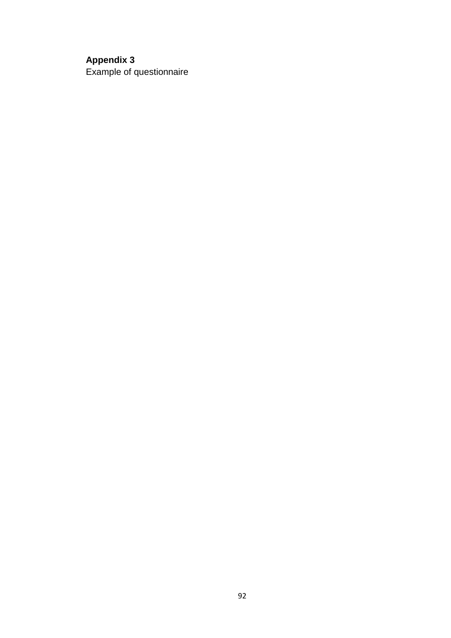# **Appendix 3**

Example of questionnaire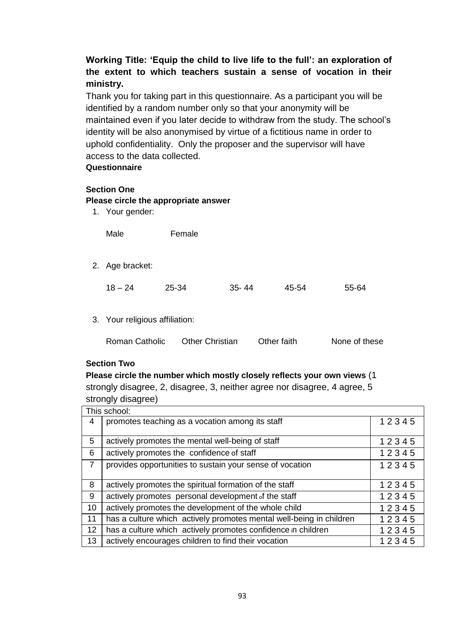### **Working Title: 'Equip the child to live life to the full': an exploration of the extent to which teachers sustain a sense of vocation in their ministry.**

Thank you for taking part in this questionnaire. As a participant you will be identified by a random number only so that your anonymity will be maintained even if you later decide to withdraw from the study. The school's identity will be also anonymised by virtue of a fictitious name in order to uphold confidentiality. Only the proposer and the supervisor will have access to the data collected.

### **Questionnaire**

### **Section One**

### **Please circle the appropriate answer**

1. Your gender:

| Male | Female |
|------|--------|
|      |        |

2. Age bracket:

| $18 - 24$ | 25-34 | $35 - 44$ | 45-54 | 55-64 |
|-----------|-------|-----------|-------|-------|
|           |       |           |       |       |

3. Your religious affiliation:

| <b>Roman Catholic</b> | <b>Other Christian</b> | Other faith | None of these |
|-----------------------|------------------------|-------------|---------------|
|                       |                        |             |               |

### **Section Two**

**Please circle the number which mostly closely reflects your own views** (1 strongly disagree, 2, disagree, 3, neither agree nor disagree, 4 agree, 5 strongly disagree)

| This school:   |                                                                     |       |
|----------------|---------------------------------------------------------------------|-------|
| 4              | promotes teaching as a vocation among its staff                     | 12345 |
|                |                                                                     |       |
| 5              | actively promotes the mental well-being of staff                    |       |
| 6              | actively promotes the confidence of staff                           | 12345 |
| $\overline{7}$ | provides opportunities to sustain your sense of vocation            | 12345 |
|                |                                                                     |       |
| 8              | actively promotes the spiritual formation of the staff              | 12345 |
| 9              | actively promotes personal development of the staff                 | 12345 |
| 10             | actively promotes the development of the whole child                | 12345 |
| 11             | has a culture which actively promotes mental well-being in children | 12345 |
| 12             | has a culture which actively promotes confidence in children        | 12345 |
| 13             | actively encourages children to find their vocation                 | 12345 |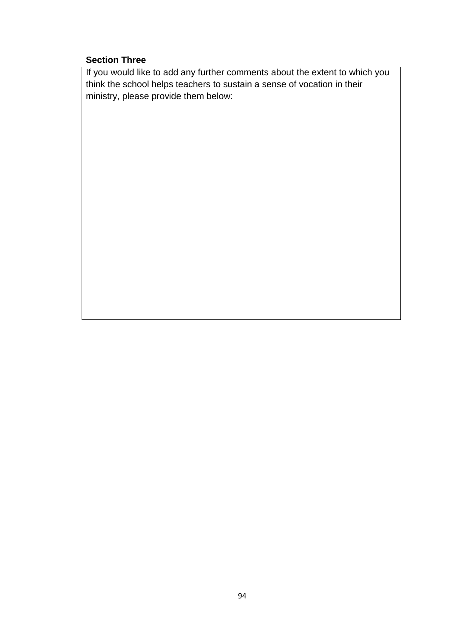## **Section Three**

If you would like to add any further comments about the extent to which you think the school helps teachers to sustain a sense of vocation in their ministry, please provide them below: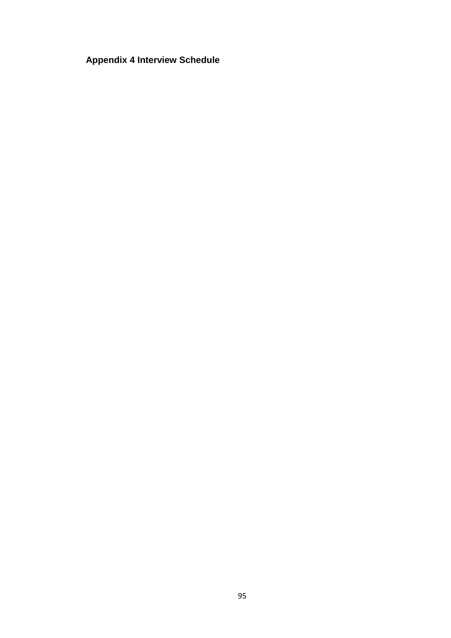# **Appendix 4 Interview Schedule**